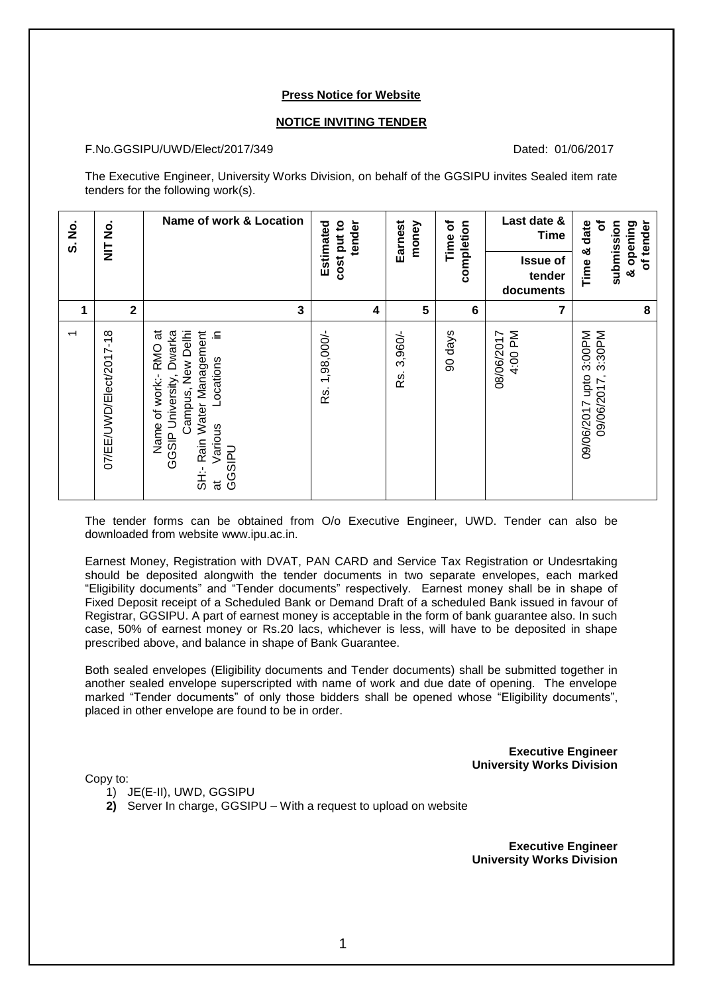#### **Press Notice for Website**

#### **NOTICE INVITING TENDER**

#### F.No.GGSIPU/UWD/Elect/2017/349 Dated: 01/06/2017

The Executive Engineer, University Works Division, on behalf of the GGSIPU invites Sealed item rate tenders for the following work(s).

| $\dot{\mathbf{z}}$<br>ທ່ | S<br>N<br>I<br>N<br>N   |              | Name of work & Location                                                                                                                                       |   | Estimated<br>cost put to<br>tender |   | Earnest<br>money | ৳<br>completion<br><b>Time</b> | Last date &<br><b>Time</b><br><b>Issue of</b><br>tender<br>documents | & date<br>submission<br>of tender<br>& opening<br>ة<br><b>Time</b> |
|--------------------------|-------------------------|--------------|---------------------------------------------------------------------------------------------------------------------------------------------------------------|---|------------------------------------|---|------------------|--------------------------------|----------------------------------------------------------------------|--------------------------------------------------------------------|
| 1                        |                         | $\mathbf{2}$ |                                                                                                                                                               | 3 |                                    | 4 | 5                | $6\phantom{1}$                 | 7                                                                    | 8                                                                  |
| $\overline{ }$           | 07/EE/UWD/Elect/2017-18 |              | Rain Water Management<br>RMO at<br>Campus, New Delhi<br>≘.<br>Dwarka<br>Locations<br>GGSIP University,<br>Name of work:-<br>Various<br>GGSIPU<br>。<br>5h<br>ಹ |   | 1,98,000<br>Rs.                    |   | $3,960-$<br>Rs.  | days<br>8                      | 4:00 PM<br>08/06/2017                                                | 3:00PM<br>3:30PM<br>opto<br>09/06/2017,<br>09/06/2017              |

The tender forms can be obtained from O/o Executive Engineer, UWD. Tender can also be downloaded from website [www.ipu.ac.in.](http://www.ipu.ac.in/)

Earnest Money, Registration with DVAT, PAN CARD and Service Tax Registration or Undesrtaking should be deposited alongwith the tender documents in two separate envelopes, each marked "Eligibility documents" and "Tender documents" respectively. Earnest money shall be in shape of Fixed Deposit receipt of a Scheduled Bank or Demand Draft of a scheduled Bank issued in favour of Registrar, GGSIPU. A part of earnest money is acceptable in the form of bank guarantee also. In such case, 50% of earnest money or Rs.20 lacs, whichever is less, will have to be deposited in shape prescribed above, and balance in shape of Bank Guarantee.

Both sealed envelopes (Eligibility documents and Tender documents) shall be submitted together in another sealed envelope superscripted with name of work and due date of opening. The envelope marked "Tender documents" of only those bidders shall be opened whose "Eligibility documents", placed in other envelope are found to be in order.

> **Executive Engineer University Works Division**

Copy to:

- 1) JE(E-II), UWD, GGSIPU
- **2)** Server In charge, GGSIPU With a request to upload on website

**Executive Engineer University Works Division**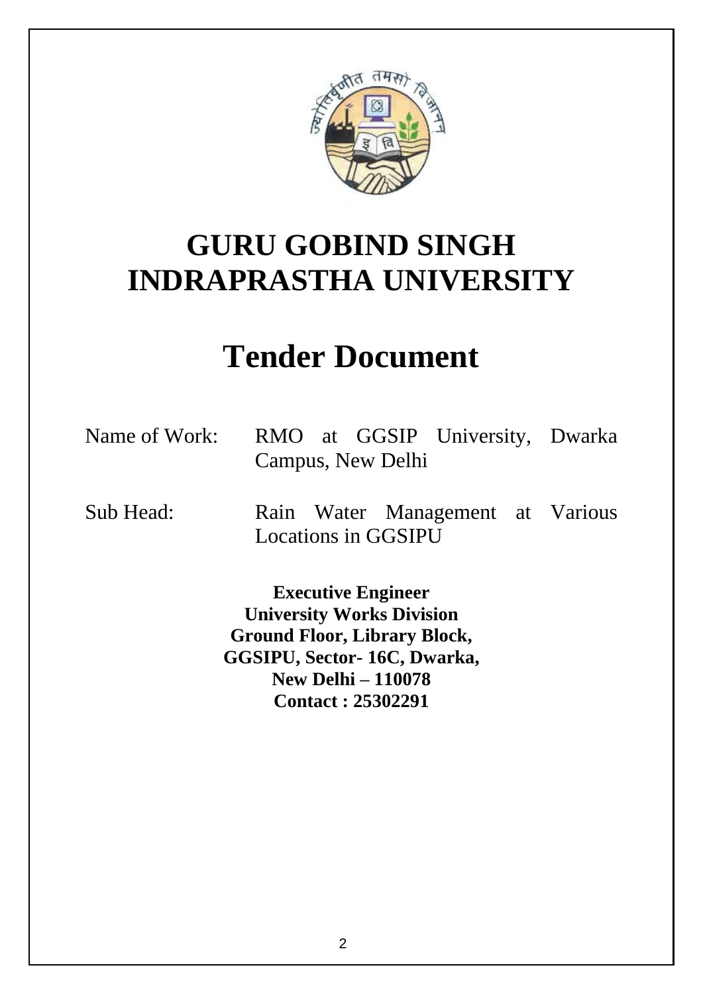

## **GURU GOBIND SINGH INDRAPRASTHA UNIVERSITY**

## **Tender Document**

|                           | Name of Work: RMO at GGSIP University, Dwarka<br>Campus, New Delhi |  |  |  |  |  |
|---------------------------|--------------------------------------------------------------------|--|--|--|--|--|
| Sub Head:                 | Rain Water Management at Various<br><b>Locations in GGSIPU</b>     |  |  |  |  |  |
| <b>Executive Engineer</b> |                                                                    |  |  |  |  |  |

**University Works Division Ground Floor, Library Block, GGSIPU, Sector- 16C, Dwarka, New Delhi – 110078 Contact : 25302291**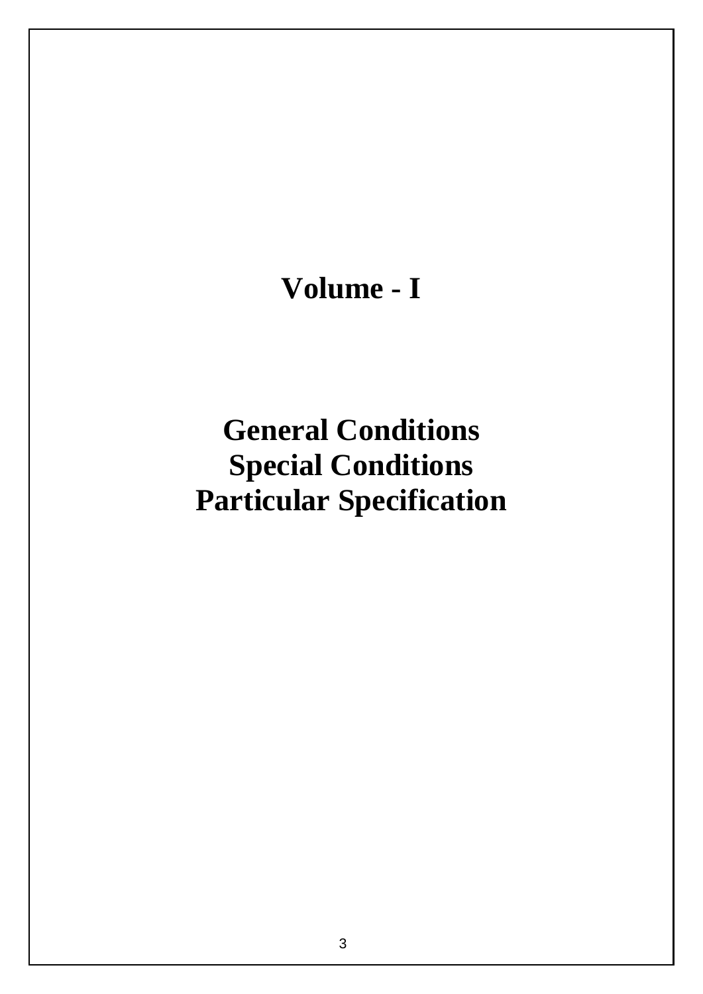## **Volume - I**

## **General Conditions Special Conditions Particular Specification**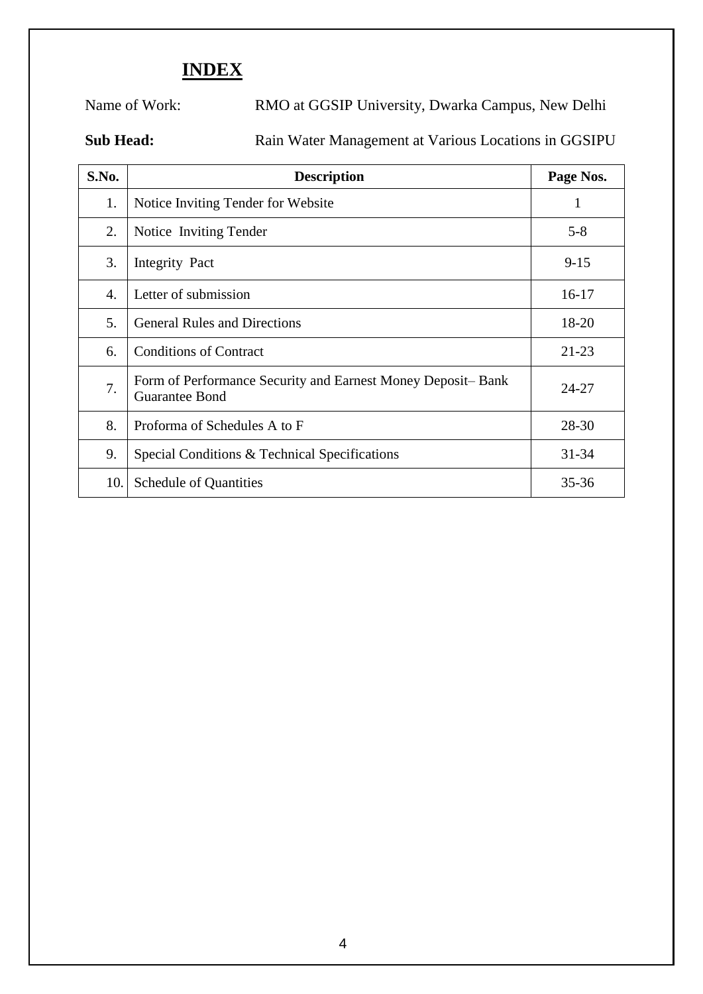### **INDEX**

Name of Work: RMO at GGSIP University, Dwarka Campus, New Delhi

Sub Head: **Rain Water Management at Various Locations in GGSIPU** 

| S.No. | <b>Description</b>                                                                   | Page Nos. |
|-------|--------------------------------------------------------------------------------------|-----------|
| 1.    | Notice Inviting Tender for Website                                                   | 1         |
| 2.    | Notice Inviting Tender                                                               | $5 - 8$   |
| 3.    | <b>Integrity Pact</b>                                                                | $9 - 15$  |
| 4.    | Letter of submission                                                                 | $16-17$   |
| 5.    | <b>General Rules and Directions</b>                                                  | 18-20     |
| 6.    | <b>Conditions of Contract</b>                                                        | $21 - 23$ |
| 7.    | Form of Performance Security and Earnest Money Deposit-Bank<br><b>Guarantee Bond</b> | 24-27     |
| 8.    | Proforma of Schedules A to F                                                         | 28-30     |
| 9.    | Special Conditions & Technical Specifications                                        | 31-34     |
| 10.   | <b>Schedule of Quantities</b>                                                        | $35 - 36$ |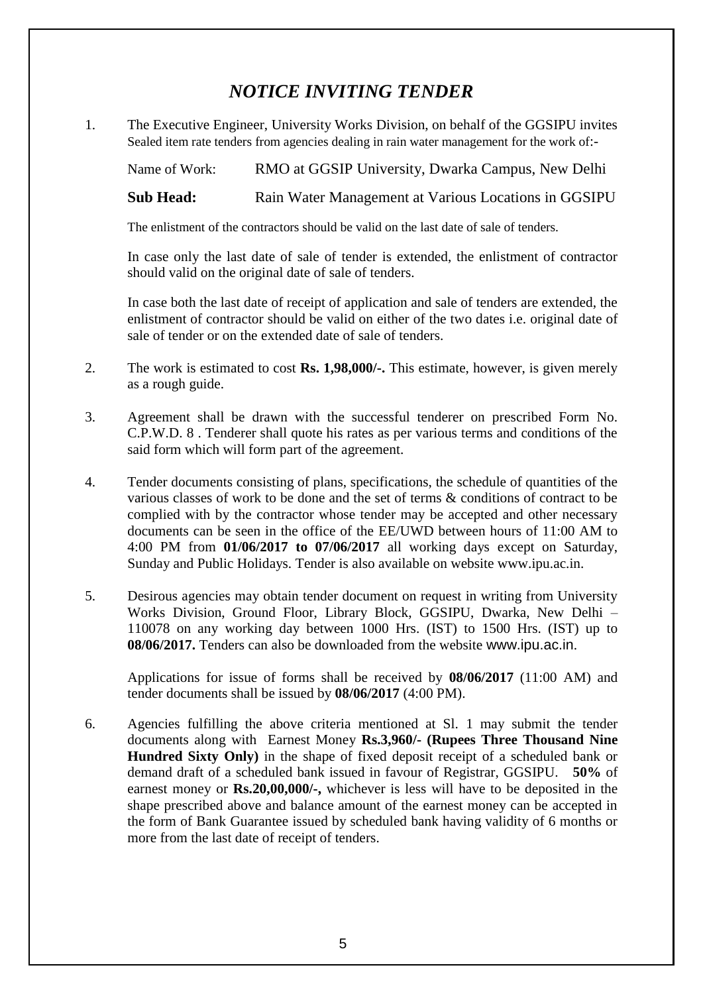#### *NOTICE INVITING TENDER*

1. The Executive Engineer, University Works Division, on behalf of the GGSIPU invites Sealed item rate tenders from agencies dealing in rain water management for the work of:-

Name of Work: RMO at GGSIP University, Dwarka Campus, New Delhi

**Sub Head:** Rain Water Management at Various Locations in GGSIPU

The enlistment of the contractors should be valid on the last date of sale of tenders.

In case only the last date of sale of tender is extended, the enlistment of contractor should valid on the original date of sale of tenders.

In case both the last date of receipt of application and sale of tenders are extended, the enlistment of contractor should be valid on either of the two dates i.e. original date of sale of tender or on the extended date of sale of tenders.

- 2. The work is estimated to cost **Rs. 1,98,000/-.** This estimate, however, is given merely as a rough guide.
- 3. Agreement shall be drawn with the successful tenderer on prescribed Form No. C.P.W.D. 8 . Tenderer shall quote his rates as per various terms and conditions of the said form which will form part of the agreement.
- 4. Tender documents consisting of plans, specifications, the schedule of quantities of the various classes of work to be done and the set of terms & conditions of contract to be complied with by the contractor whose tender may be accepted and other necessary documents can be seen in the office of the EE/UWD between hours of 11:00 AM to 4:00 PM from **01/06/2017 to 07/06/2017** all working days except on Saturday, Sunday and Public Holidays. Tender is also available on website www.ipu.ac.in.
- 5. Desirous agencies may obtain tender document on request in writing from University Works Division, Ground Floor, Library Block, GGSIPU, Dwarka, New Delhi – 110078 on any working day between 1000 Hrs. (IST) to 1500 Hrs. (IST) up to **08/06/2017.** Tenders can also be downloaded from the website [www.ipu.ac.in](http://www.ipu.ac.in/).

Applications for issue of forms shall be received by **08/06/2017** (11:00 AM) and tender documents shall be issued by **08/06/2017** (4:00 PM).

6. Agencies fulfilling the above criteria mentioned at Sl. 1 may submit the tender documents along with Earnest Money **Rs.3,960/- (Rupees Three Thousand Nine Hundred Sixty Only)** in the shape of fixed deposit receipt of a scheduled bank or demand draft of a scheduled bank issued in favour of Registrar, GGSIPU. **50%** of earnest money or **Rs.20,00,000/-,** whichever is less will have to be deposited in the shape prescribed above and balance amount of the earnest money can be accepted in the form of Bank Guarantee issued by scheduled bank having validity of 6 months or more from the last date of receipt of tenders.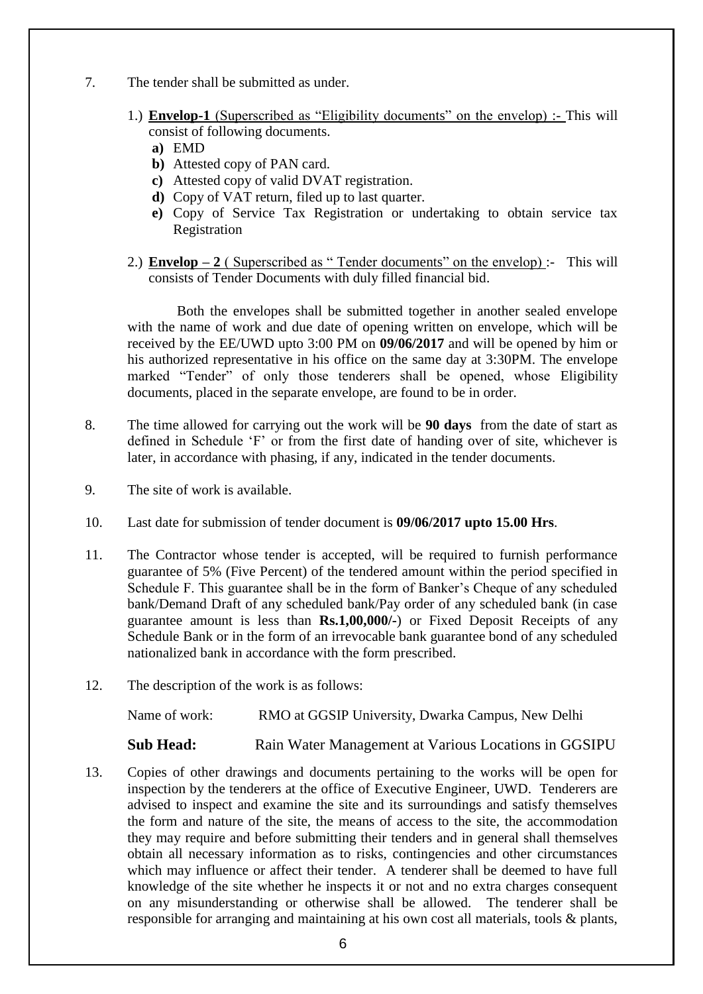- 7. The tender shall be submitted as under.
	- 1.) **Envelop-1** (Superscribed as "Eligibility documents" on the envelop) :- This will consist of following documents.
		- **a)** EMD
		- **b)** Attested copy of PAN card.
		- **c)** Attested copy of valid DVAT registration.
		- **d)** Copy of VAT return, filed up to last quarter.
		- **e)** Copy of Service Tax Registration or undertaking to obtain service tax Registration
	- 2.) **Envelop**  $-2$  (Superscribed as "Tender documents" on the envelop) :- This will consists of Tender Documents with duly filled financial bid.

 Both the envelopes shall be submitted together in another sealed envelope with the name of work and due date of opening written on envelope, which will be received by the EE/UWD upto 3:00 PM on **09/06/2017** and will be opened by him or his authorized representative in his office on the same day at 3:30PM. The envelope marked "Tender" of only those tenderers shall be opened, whose Eligibility documents, placed in the separate envelope, are found to be in order.

- 8. The time allowed for carrying out the work will be **90 days** from the date of start as defined in Schedule "F" or from the first date of handing over of site, whichever is later, in accordance with phasing, if any, indicated in the tender documents.
- 9. The site of work is available.
- 10. Last date for submission of tender document is **09/06/2017 upto 15.00 Hrs**.
- 11. The Contractor whose tender is accepted, will be required to furnish performance guarantee of 5% (Five Percent) of the tendered amount within the period specified in Schedule F. This guarantee shall be in the form of Banker"s Cheque of any scheduled bank/Demand Draft of any scheduled bank/Pay order of any scheduled bank (in case guarantee amount is less than **Rs.1,00,000/-**) or Fixed Deposit Receipts of any Schedule Bank or in the form of an irrevocable bank guarantee bond of any scheduled nationalized bank in accordance with the form prescribed.
- 12. The description of the work is as follows:

Name of work: RMO at GGSIP University, Dwarka Campus, New Delhi **Sub Head:** Rain Water Management at Various Locations in GGSIPU

13. Copies of other drawings and documents pertaining to the works will be open for inspection by the tenderers at the office of Executive Engineer, UWD. Tenderers are advised to inspect and examine the site and its surroundings and satisfy themselves the form and nature of the site, the means of access to the site, the accommodation they may require and before submitting their tenders and in general shall themselves obtain all necessary information as to risks, contingencies and other circumstances which may influence or affect their tender. A tenderer shall be deemed to have full knowledge of the site whether he inspects it or not and no extra charges consequent on any misunderstanding or otherwise shall be allowed. The tenderer shall be responsible for arranging and maintaining at his own cost all materials, tools & plants,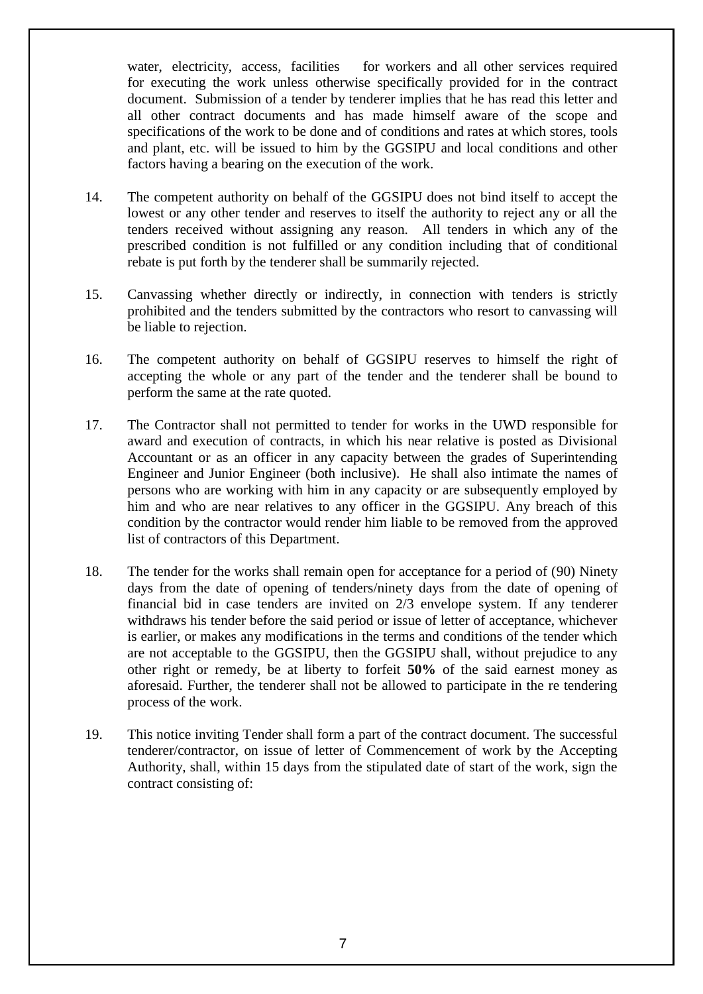water, electricity, access, facilities for workers and all other services required for executing the work unless otherwise specifically provided for in the contract document. Submission of a tender by tenderer implies that he has read this letter and all other contract documents and has made himself aware of the scope and specifications of the work to be done and of conditions and rates at which stores, tools and plant, etc. will be issued to him by the GGSIPU and local conditions and other factors having a bearing on the execution of the work.

- 14. The competent authority on behalf of the GGSIPU does not bind itself to accept the lowest or any other tender and reserves to itself the authority to reject any or all the tenders received without assigning any reason. All tenders in which any of the prescribed condition is not fulfilled or any condition including that of conditional rebate is put forth by the tenderer shall be summarily rejected.
- 15. Canvassing whether directly or indirectly, in connection with tenders is strictly prohibited and the tenders submitted by the contractors who resort to canvassing will be liable to rejection.
- 16. The competent authority on behalf of GGSIPU reserves to himself the right of accepting the whole or any part of the tender and the tenderer shall be bound to perform the same at the rate quoted.
- 17. The Contractor shall not permitted to tender for works in the UWD responsible for award and execution of contracts, in which his near relative is posted as Divisional Accountant or as an officer in any capacity between the grades of Superintending Engineer and Junior Engineer (both inclusive). He shall also intimate the names of persons who are working with him in any capacity or are subsequently employed by him and who are near relatives to any officer in the GGSIPU. Any breach of this condition by the contractor would render him liable to be removed from the approved list of contractors of this Department.
- 18. The tender for the works shall remain open for acceptance for a period of (90) Ninety days from the date of opening of tenders/ninety days from the date of opening of financial bid in case tenders are invited on 2/3 envelope system. If any tenderer withdraws his tender before the said period or issue of letter of acceptance, whichever is earlier, or makes any modifications in the terms and conditions of the tender which are not acceptable to the GGSIPU, then the GGSIPU shall, without prejudice to any other right or remedy, be at liberty to forfeit **50%** of the said earnest money as aforesaid. Further, the tenderer shall not be allowed to participate in the re tendering process of the work.
- 19. This notice inviting Tender shall form a part of the contract document. The successful tenderer/contractor, on issue of letter of Commencement of work by the Accepting Authority, shall, within 15 days from the stipulated date of start of the work, sign the contract consisting of: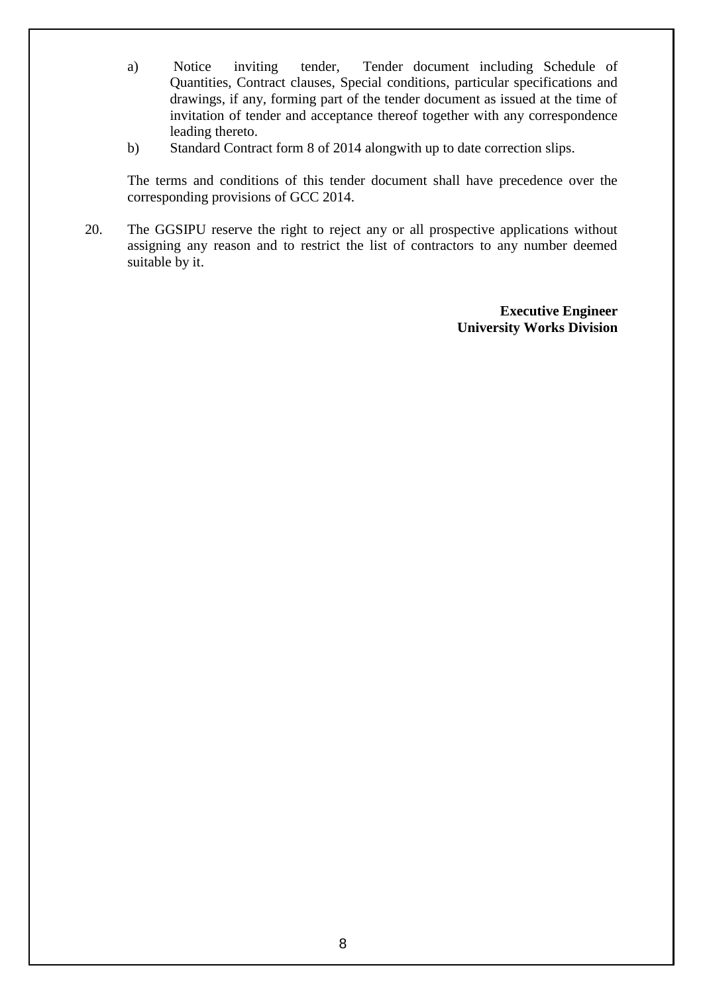- a) Notice inviting tender, Tender document including Schedule of Quantities, Contract clauses, Special conditions, particular specifications and drawings, if any, forming part of the tender document as issued at the time of invitation of tender and acceptance thereof together with any correspondence leading thereto.
- b) Standard Contract form 8 of 2014 alongwith up to date correction slips.

The terms and conditions of this tender document shall have precedence over the corresponding provisions of GCC 2014.

20. The GGSIPU reserve the right to reject any or all prospective applications without assigning any reason and to restrict the list of contractors to any number deemed suitable by it.

> **Executive Engineer University Works Division**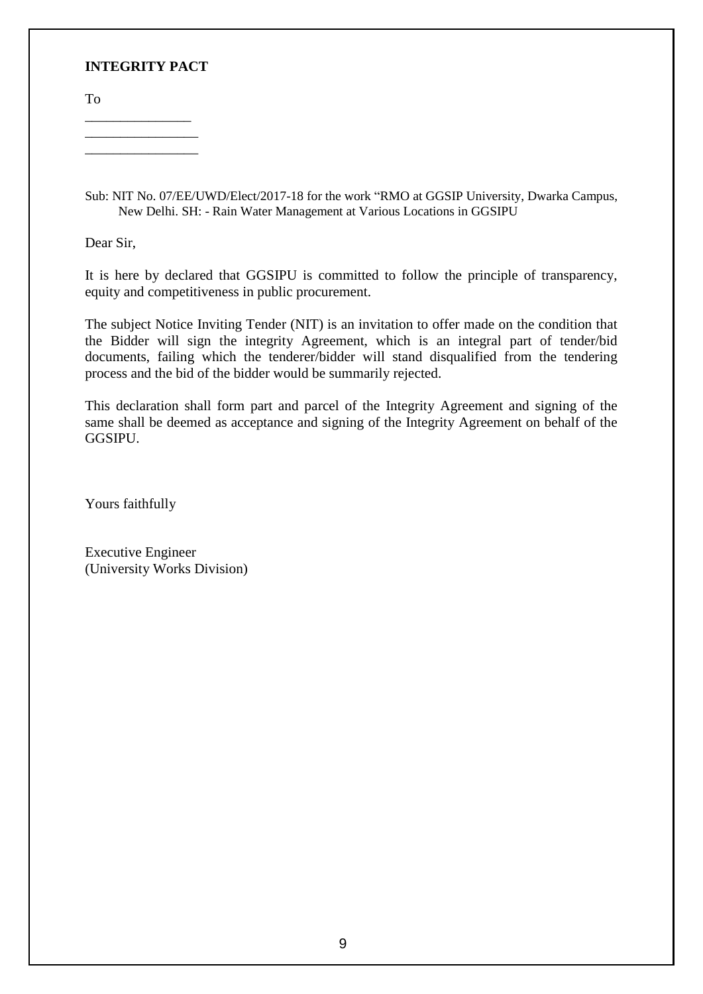#### **INTEGRITY PACT**

 $\overline{\phantom{a}}$  , where  $\overline{\phantom{a}}$  $\overline{\phantom{a}}$  , where  $\overline{\phantom{a}}$  $\overline{\phantom{a}}$  , where  $\overline{\phantom{a}}$ 

To

Sub: NIT No. 07/EE/UWD/Elect/2017-18 for the work "RMO at GGSIP University, Dwarka Campus, New Delhi. SH: - Rain Water Management at Various Locations in GGSIPU

Dear Sir,

It is here by declared that GGSIPU is committed to follow the principle of transparency, equity and competitiveness in public procurement.

The subject Notice Inviting Tender (NIT) is an invitation to offer made on the condition that the Bidder will sign the integrity Agreement, which is an integral part of tender/bid documents, failing which the tenderer/bidder will stand disqualified from the tendering process and the bid of the bidder would be summarily rejected.

This declaration shall form part and parcel of the Integrity Agreement and signing of the same shall be deemed as acceptance and signing of the Integrity Agreement on behalf of the GGSIPU.

Yours faithfully

Executive Engineer (University Works Division)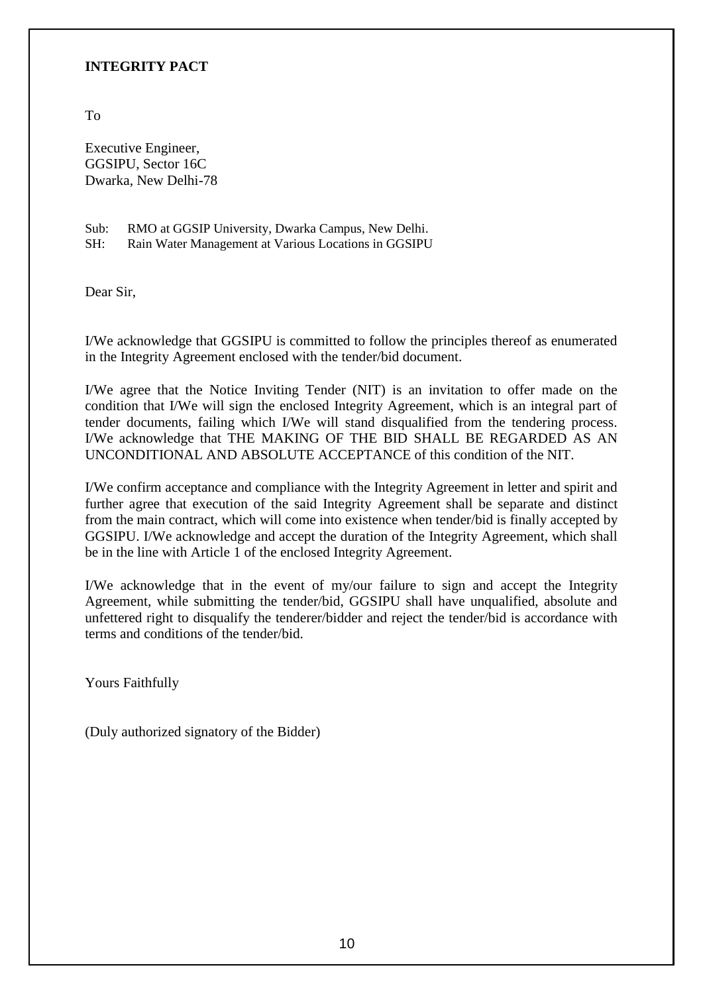#### **INTEGRITY PACT**

To

Executive Engineer, GGSIPU, Sector 16C Dwarka, New Delhi-78

Sub: RMO at GGSIP University, Dwarka Campus, New Delhi.<br>SH: Rain Water Management at Various Locations in GGSIPU

Rain Water Management at Various Locations in GGSIPU

Dear Sir,

I/We acknowledge that GGSIPU is committed to follow the principles thereof as enumerated in the Integrity Agreement enclosed with the tender/bid document.

I/We agree that the Notice Inviting Tender (NIT) is an invitation to offer made on the condition that I/We will sign the enclosed Integrity Agreement, which is an integral part of tender documents, failing which I/We will stand disqualified from the tendering process. I/We acknowledge that THE MAKING OF THE BID SHALL BE REGARDED AS AN UNCONDITIONAL AND ABSOLUTE ACCEPTANCE of this condition of the NIT.

I/We confirm acceptance and compliance with the Integrity Agreement in letter and spirit and further agree that execution of the said Integrity Agreement shall be separate and distinct from the main contract, which will come into existence when tender/bid is finally accepted by GGSIPU. I/We acknowledge and accept the duration of the Integrity Agreement, which shall be in the line with Article 1 of the enclosed Integrity Agreement.

I/We acknowledge that in the event of my/our failure to sign and accept the Integrity Agreement, while submitting the tender/bid, GGSIPU shall have unqualified, absolute and unfettered right to disqualify the tenderer/bidder and reject the tender/bid is accordance with terms and conditions of the tender/bid.

Yours Faithfully

(Duly authorized signatory of the Bidder)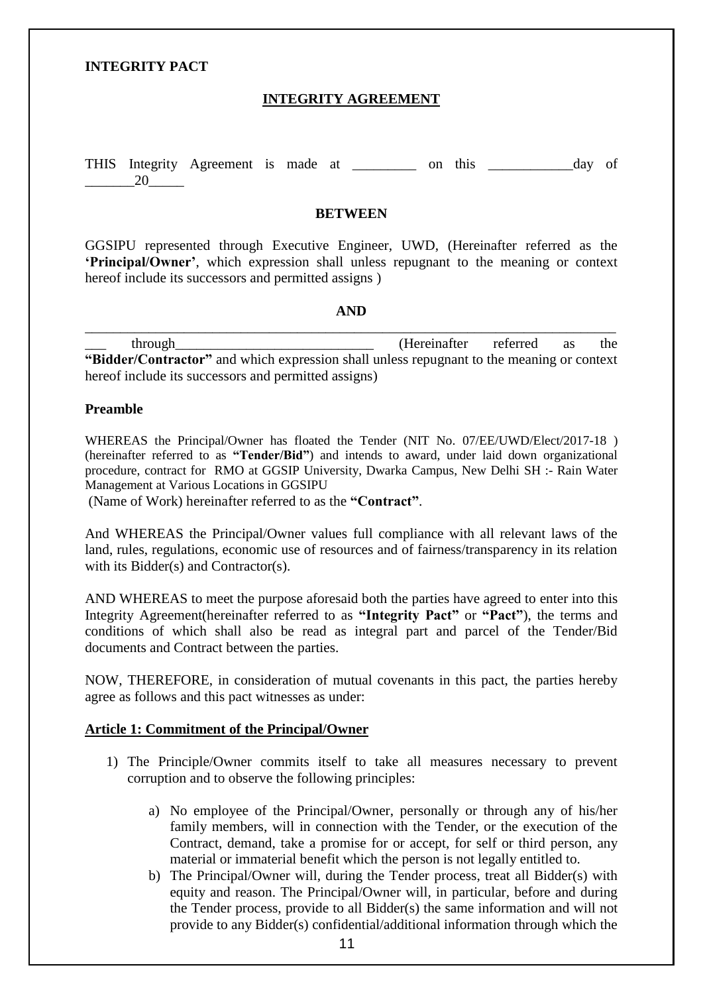#### **INTEGRITY PACT**

#### **INTEGRITY AGREEMENT**

THIS Integrity Agreement is made at \_\_\_\_\_\_\_\_\_ on this \_\_\_\_\_\_\_\_\_\_\_\_day of \_\_\_\_\_\_\_20\_\_\_\_\_

#### **BETWEEN**

GGSIPU represented through Executive Engineer, UWD, (Hereinafter referred as the **"Principal/Owner"**, which expression shall unless repugnant to the meaning or context hereof include its successors and permitted assigns )

#### **AND** \_\_\_\_\_\_\_\_\_\_\_\_\_\_\_\_\_\_\_\_\_\_\_\_\_\_\_\_\_\_\_\_\_\_\_\_\_\_\_\_\_\_\_\_\_\_\_\_\_\_\_\_\_\_\_\_\_\_\_\_\_\_\_\_\_\_\_\_\_\_\_\_\_\_\_

through through through through through the set of the set of the set of the set of the set of the set of the set of the set of the set of the set of the set of the set of the set of the set of the set of the set of the se **"Bidder/Contractor"** and which expression shall unless repugnant to the meaning or context hereof include its successors and permitted assigns)

#### **Preamble**

WHEREAS the Principal/Owner has floated the Tender (NIT No. 07/EE/UWD/Elect/2017-18 ) (hereinafter referred to as **"Tender/Bid"**) and intends to award, under laid down organizational procedure, contract for RMO at GGSIP University, Dwarka Campus, New Delhi SH :- Rain Water Management at Various Locations in GGSIPU

(Name of Work) hereinafter referred to as the **"Contract"**.

And WHEREAS the Principal/Owner values full compliance with all relevant laws of the land, rules, regulations, economic use of resources and of fairness/transparency in its relation with its Bidder(s) and Contractor(s).

AND WHEREAS to meet the purpose aforesaid both the parties have agreed to enter into this Integrity Agreement(hereinafter referred to as **"Integrity Pact"** or **"Pact"**), the terms and conditions of which shall also be read as integral part and parcel of the Tender/Bid documents and Contract between the parties.

NOW, THEREFORE, in consideration of mutual covenants in this pact, the parties hereby agree as follows and this pact witnesses as under:

#### **Article 1: Commitment of the Principal/Owner**

- 1) The Principle/Owner commits itself to take all measures necessary to prevent corruption and to observe the following principles:
	- a) No employee of the Principal/Owner, personally or through any of his/her family members, will in connection with the Tender, or the execution of the Contract, demand, take a promise for or accept, for self or third person, any material or immaterial benefit which the person is not legally entitled to.
	- b) The Principal/Owner will, during the Tender process, treat all Bidder(s) with equity and reason. The Principal/Owner will, in particular, before and during the Tender process, provide to all Bidder(s) the same information and will not provide to any Bidder(s) confidential/additional information through which the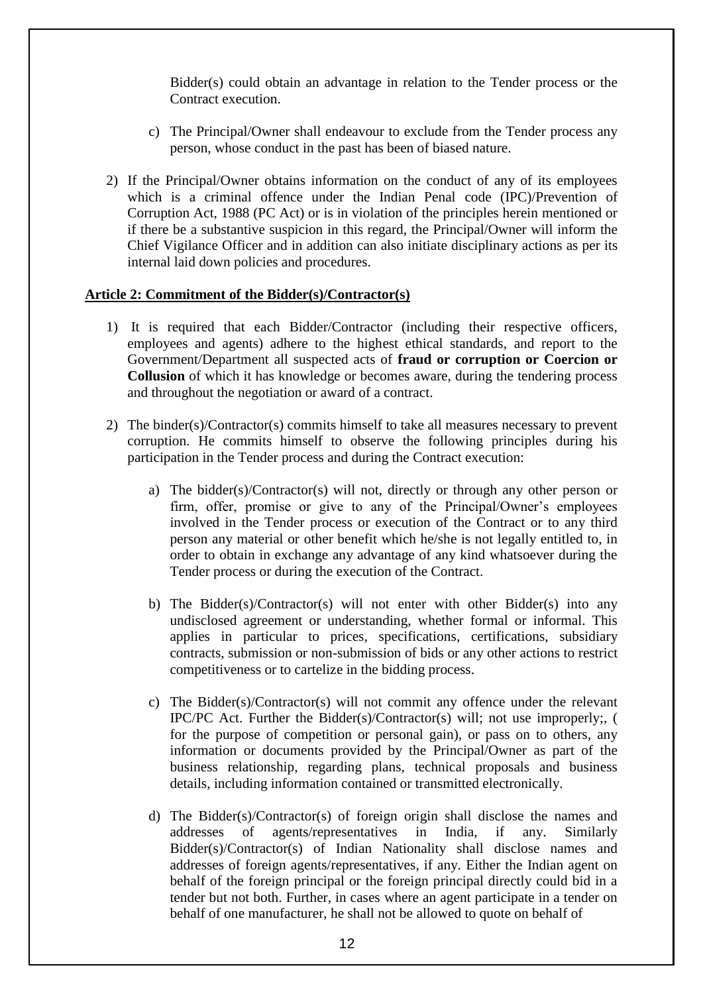Bidder(s) could obtain an advantage in relation to the Tender process or the Contract execution.

- c) The Principal/Owner shall endeavour to exclude from the Tender process any person, whose conduct in the past has been of biased nature.
- 2) If the Principal/Owner obtains information on the conduct of any of its employees which is a criminal offence under the Indian Penal code (IPC)/Prevention of Corruption Act, 1988 (PC Act) or is in violation of the principles herein mentioned or if there be a substantive suspicion in this regard, the Principal/Owner will inform the Chief Vigilance Officer and in addition can also initiate disciplinary actions as per its internal laid down policies and procedures.

#### **Article 2: Commitment of the Bidder(s)/Contractor(s)**

- 1) It is required that each Bidder/Contractor (including their respective officers, employees and agents) adhere to the highest ethical standards, and report to the Government/Department all suspected acts of **fraud or corruption or Coercion or Collusion** of which it has knowledge or becomes aware, during the tendering process and throughout the negotiation or award of a contract.
- 2) The binder(s)/Contractor(s) commits himself to take all measures necessary to prevent corruption. He commits himself to observe the following principles during his participation in the Tender process and during the Contract execution:
	- a) The bidder(s)/Contractor(s) will not, directly or through any other person or firm, offer, promise or give to any of the Principal/Owner's employees involved in the Tender process or execution of the Contract or to any third person any material or other benefit which he/she is not legally entitled to, in order to obtain in exchange any advantage of any kind whatsoever during the Tender process or during the execution of the Contract.
	- b) The Bidder(s)/Contractor(s) will not enter with other Bidder(s) into any undisclosed agreement or understanding, whether formal or informal. This applies in particular to prices, specifications, certifications, subsidiary contracts, submission or non-submission of bids or any other actions to restrict competitiveness or to cartelize in the bidding process.
	- c) The Bidder(s)/Contractor(s) will not commit any offence under the relevant IPC/PC Act. Further the Bidder(s)/Contractor(s) will; not use improperly;, ( for the purpose of competition or personal gain), or pass on to others, any information or documents provided by the Principal/Owner as part of the business relationship, regarding plans, technical proposals and business details, including information contained or transmitted electronically.
	- d) The Bidder(s)/Contractor(s) of foreign origin shall disclose the names and addresses of agents/representatives in India, if any. Similarly Bidder(s)/Contractor(s) of Indian Nationality shall disclose names and addresses of foreign agents/representatives, if any. Either the Indian agent on behalf of the foreign principal or the foreign principal directly could bid in a tender but not both. Further, in cases where an agent participate in a tender on behalf of one manufacturer, he shall not be allowed to quote on behalf of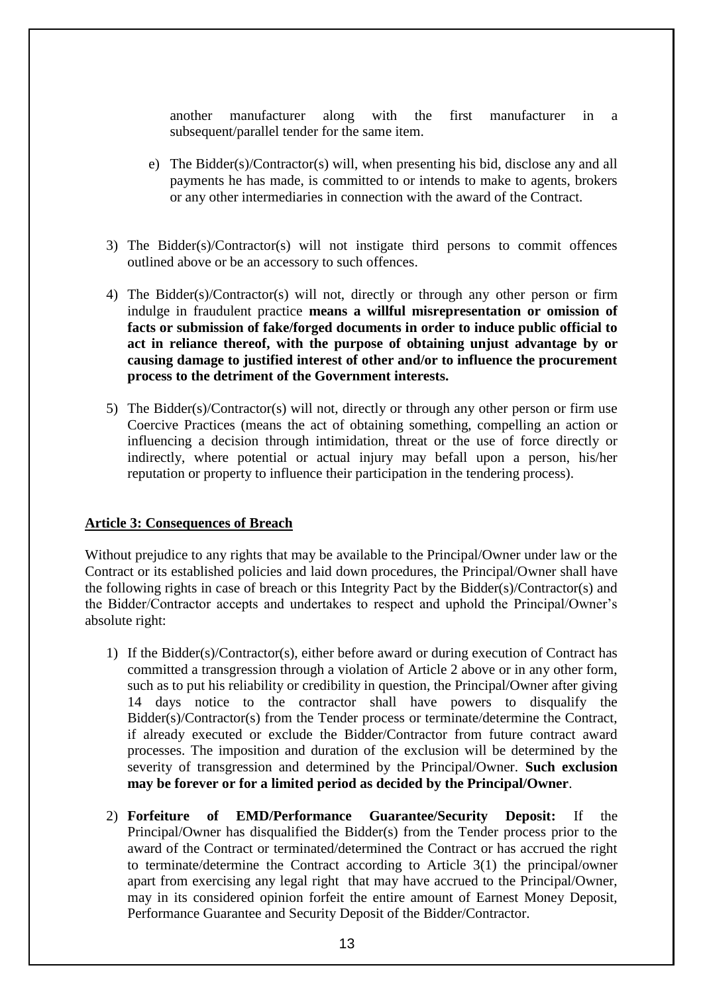another manufacturer along with the first manufacturer in a subsequent/parallel tender for the same item.

- e) The Bidder(s)/Contractor(s) will, when presenting his bid, disclose any and all payments he has made, is committed to or intends to make to agents, brokers or any other intermediaries in connection with the award of the Contract.
- 3) The Bidder(s)/Contractor(s) will not instigate third persons to commit offences outlined above or be an accessory to such offences.
- 4) The Bidder(s)/Contractor(s) will not, directly or through any other person or firm indulge in fraudulent practice **means a willful misrepresentation or omission of facts or submission of fake/forged documents in order to induce public official to act in reliance thereof, with the purpose of obtaining unjust advantage by or causing damage to justified interest of other and/or to influence the procurement process to the detriment of the Government interests.**
- 5) The Bidder(s)/Contractor(s) will not, directly or through any other person or firm use Coercive Practices (means the act of obtaining something, compelling an action or influencing a decision through intimidation, threat or the use of force directly or indirectly, where potential or actual injury may befall upon a person, his/her reputation or property to influence their participation in the tendering process).

#### **Article 3: Consequences of Breach**

Without prejudice to any rights that may be available to the Principal/Owner under law or the Contract or its established policies and laid down procedures, the Principal/Owner shall have the following rights in case of breach or this Integrity Pact by the Bidder(s)/Contractor(s) and the Bidder/Contractor accepts and undertakes to respect and uphold the Principal/Owner"s absolute right:

- 1) If the Bidder(s)/Contractor(s), either before award or during execution of Contract has committed a transgression through a violation of Article 2 above or in any other form, such as to put his reliability or credibility in question, the Principal/Owner after giving 14 days notice to the contractor shall have powers to disqualify the Bidder(s)/Contractor(s) from the Tender process or terminate/determine the Contract, if already executed or exclude the Bidder/Contractor from future contract award processes. The imposition and duration of the exclusion will be determined by the severity of transgression and determined by the Principal/Owner. **Such exclusion may be forever or for a limited period as decided by the Principal/Owner**.
- 2) **Forfeiture of EMD/Performance Guarantee/Security Deposit:** If the Principal/Owner has disqualified the Bidder(s) from the Tender process prior to the award of the Contract or terminated/determined the Contract or has accrued the right to terminate/determine the Contract according to Article 3(1) the principal/owner apart from exercising any legal right that may have accrued to the Principal/Owner, may in its considered opinion forfeit the entire amount of Earnest Money Deposit, Performance Guarantee and Security Deposit of the Bidder/Contractor.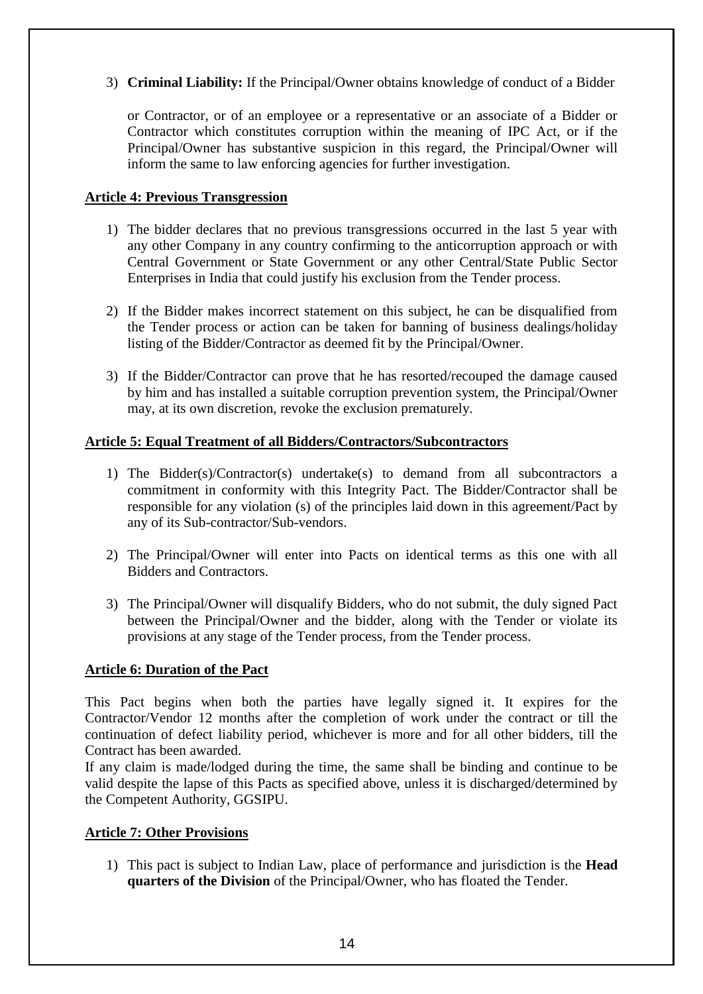3) **Criminal Liability:** If the Principal/Owner obtains knowledge of conduct of a Bidder

or Contractor, or of an employee or a representative or an associate of a Bidder or Contractor which constitutes corruption within the meaning of IPC Act, or if the Principal/Owner has substantive suspicion in this regard, the Principal/Owner will inform the same to law enforcing agencies for further investigation.

#### **Article 4: Previous Transgression**

- 1) The bidder declares that no previous transgressions occurred in the last 5 year with any other Company in any country confirming to the anticorruption approach or with Central Government or State Government or any other Central/State Public Sector Enterprises in India that could justify his exclusion from the Tender process.
- 2) If the Bidder makes incorrect statement on this subject, he can be disqualified from the Tender process or action can be taken for banning of business dealings/holiday listing of the Bidder/Contractor as deemed fit by the Principal/Owner.
- 3) If the Bidder/Contractor can prove that he has resorted/recouped the damage caused by him and has installed a suitable corruption prevention system, the Principal/Owner may, at its own discretion, revoke the exclusion prematurely.

#### **Article 5: Equal Treatment of all Bidders/Contractors/Subcontractors**

- 1) The Bidder(s)/Contractor(s) undertake(s) to demand from all subcontractors a commitment in conformity with this Integrity Pact. The Bidder/Contractor shall be responsible for any violation (s) of the principles laid down in this agreement/Pact by any of its Sub-contractor/Sub-vendors.
- 2) The Principal/Owner will enter into Pacts on identical terms as this one with all Bidders and Contractors.
- 3) The Principal/Owner will disqualify Bidders, who do not submit, the duly signed Pact between the Principal/Owner and the bidder, along with the Tender or violate its provisions at any stage of the Tender process, from the Tender process.

#### **Article 6: Duration of the Pact**

This Pact begins when both the parties have legally signed it. It expires for the Contractor/Vendor 12 months after the completion of work under the contract or till the continuation of defect liability period, whichever is more and for all other bidders, till the Contract has been awarded.

If any claim is made/lodged during the time, the same shall be binding and continue to be valid despite the lapse of this Pacts as specified above, unless it is discharged/determined by the Competent Authority, GGSIPU.

#### **Article 7: Other Provisions**

1) This pact is subject to Indian Law, place of performance and jurisdiction is the **Head quarters of the Division** of the Principal/Owner, who has floated the Tender.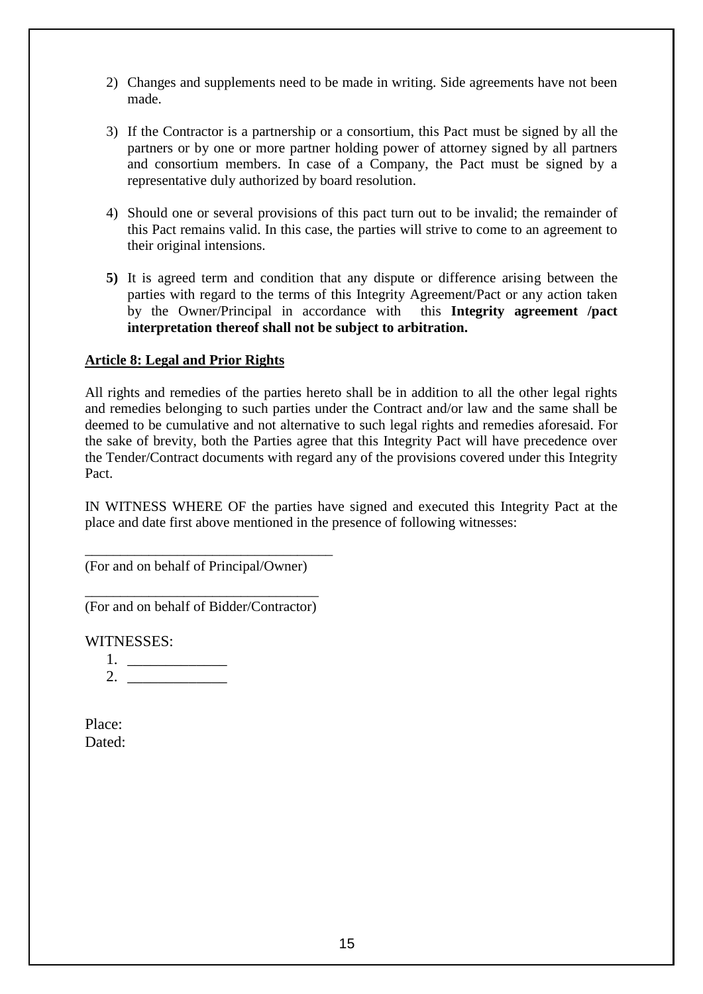- 2) Changes and supplements need to be made in writing. Side agreements have not been made.
- 3) If the Contractor is a partnership or a consortium, this Pact must be signed by all the partners or by one or more partner holding power of attorney signed by all partners and consortium members. In case of a Company, the Pact must be signed by a representative duly authorized by board resolution.
- 4) Should one or several provisions of this pact turn out to be invalid; the remainder of this Pact remains valid. In this case, the parties will strive to come to an agreement to their original intensions.
- **5)** It is agreed term and condition that any dispute or difference arising between the parties with regard to the terms of this Integrity Agreement/Pact or any action taken by the Owner/Principal in accordance with this **Integrity agreement /pact interpretation thereof shall not be subject to arbitration.**

#### **Article 8: Legal and Prior Rights**

All rights and remedies of the parties hereto shall be in addition to all the other legal rights and remedies belonging to such parties under the Contract and/or law and the same shall be deemed to be cumulative and not alternative to such legal rights and remedies aforesaid. For the sake of brevity, both the Parties agree that this Integrity Pact will have precedence over the Tender/Contract documents with regard any of the provisions covered under this Integrity Pact.

IN WITNESS WHERE OF the parties have signed and executed this Integrity Pact at the place and date first above mentioned in the presence of following witnesses:

(For and on behalf of Principal/Owner)

\_\_\_\_\_\_\_\_\_\_\_\_\_\_\_\_\_\_\_\_\_\_\_\_\_\_\_\_\_\_\_\_\_\_\_

\_\_\_\_\_\_\_\_\_\_\_\_\_\_\_\_\_\_\_\_\_\_\_\_\_\_\_\_\_\_\_\_\_ (For and on behalf of Bidder/Contractor)

WITNESSES:

- 1. \_\_\_\_\_\_\_\_\_\_\_\_\_
- 2.

Place: Dated: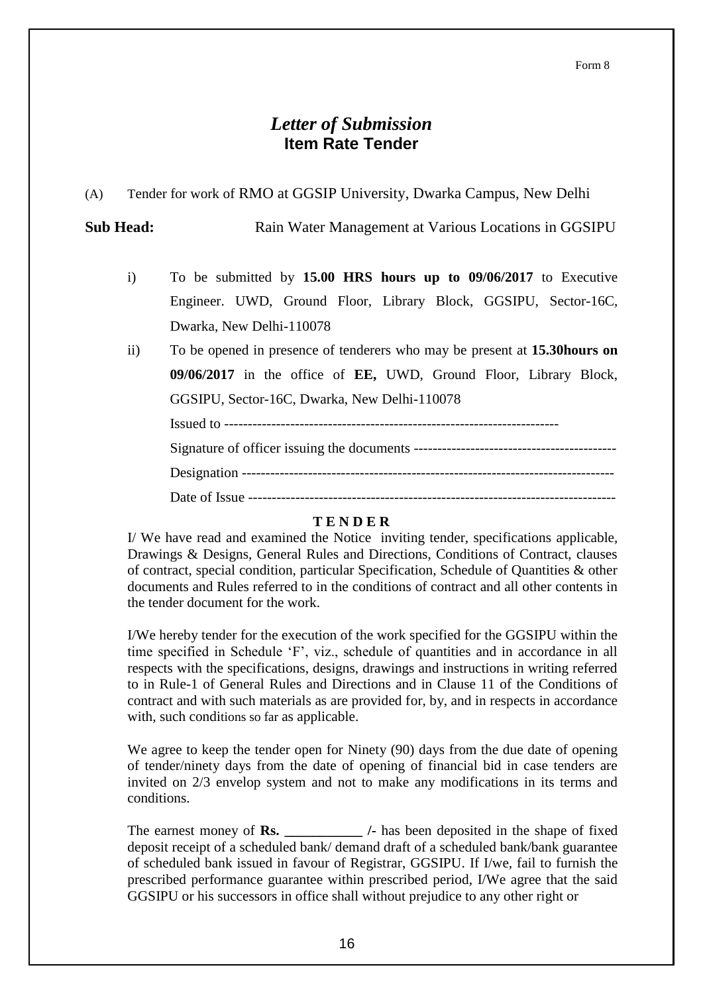#### *Letter of Submission* **Item Rate Tender**

(A) Tender for work of RMO at GGSIP University, Dwarka Campus, New Delhi

**Sub Head: Rain Water Management at Various Locations in GGSIPU** 

- i) To be submitted by **15.00 HRS hours up to 09/06/2017** to Executive Engineer. UWD, Ground Floor, Library Block, GGSIPU, Sector-16C, Dwarka, New Delhi-110078
- ii) To be opened in presence of tenderers who may be present at **15.30hours on 09/06/2017** in the office of **EE,** UWD, Ground Floor, Library Block, GGSIPU, Sector-16C, Dwarka, New Delhi-110078

Issued to -----------------------------------------------------------------------

Signature of officer issuing the documents -------------------------------------------

Designation -------------------------------------------------------------------------------

Date of Issue ------------------------------------------------------------------------------

#### **T E N D E R**

I/ We have read and examined the Notice inviting tender, specifications applicable, Drawings & Designs, General Rules and Directions, Conditions of Contract, clauses of contract, special condition, particular Specification, Schedule of Quantities & other documents and Rules referred to in the conditions of contract and all other contents in the tender document for the work.

I/We hereby tender for the execution of the work specified for the GGSIPU within the time specified in Schedule "F", viz., schedule of quantities and in accordance in all respects with the specifications, designs, drawings and instructions in writing referred to in Rule-1 of General Rules and Directions and in Clause 11 of the Conditions of contract and with such materials as are provided for, by, and in respects in accordance with, such conditions so far as applicable.

We agree to keep the tender open for Ninety (90) days from the due date of opening of tender/ninety days from the date of opening of financial bid in case tenders are invited on 2/3 envelop system and not to make any modifications in its terms and conditions.

The earnest money of **Rs. \_\_\_\_\_\_\_\_\_\_\_ /-** has been deposited in the shape of fixed deposit receipt of a scheduled bank/ demand draft of a scheduled bank/bank guarantee of scheduled bank issued in favour of Registrar, GGSIPU. If I/we, fail to furnish the prescribed performance guarantee within prescribed period, I/We agree that the said GGSIPU or his successors in office shall without prejudice to any other right or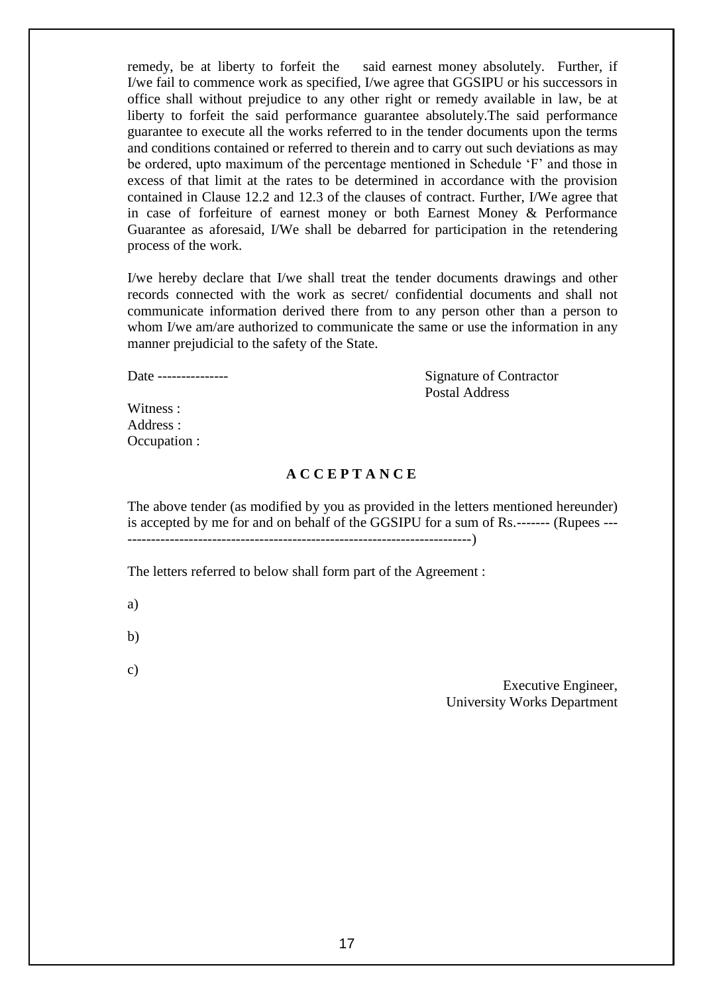remedy, be at liberty to forfeit the said earnest money absolutely. Further, if I/we fail to commence work as specified, I/we agree that GGSIPU or his successors in office shall without prejudice to any other right or remedy available in law, be at liberty to forfeit the said performance guarantee absolutely.The said performance guarantee to execute all the works referred to in the tender documents upon the terms and conditions contained or referred to therein and to carry out such deviations as may be ordered, upto maximum of the percentage mentioned in Schedule "F" and those in excess of that limit at the rates to be determined in accordance with the provision contained in Clause 12.2 and 12.3 of the clauses of contract. Further, I/We agree that in case of forfeiture of earnest money or both Earnest Money & Performance Guarantee as aforesaid, I/We shall be debarred for participation in the retendering process of the work.

I/we hereby declare that I/we shall treat the tender documents drawings and other records connected with the work as secret/ confidential documents and shall not communicate information derived there from to any person other than a person to whom I/we am/are authorized to communicate the same or use the information in any manner prejudicial to the safety of the State.

Date --------------- Signature of Contractor Postal Address

Witness : Address : Occupation :

#### **A C C E P T A N C E**

The above tender (as modified by you as provided in the letters mentioned hereunder) is accepted by me for and on behalf of the GGSIPU for a sum of Rs.------- (Rupees --- -------------------------------------------------------------------------)

The letters referred to below shall form part of the Agreement :

- a)
- b)
- c)

Executive Engineer, University Works Department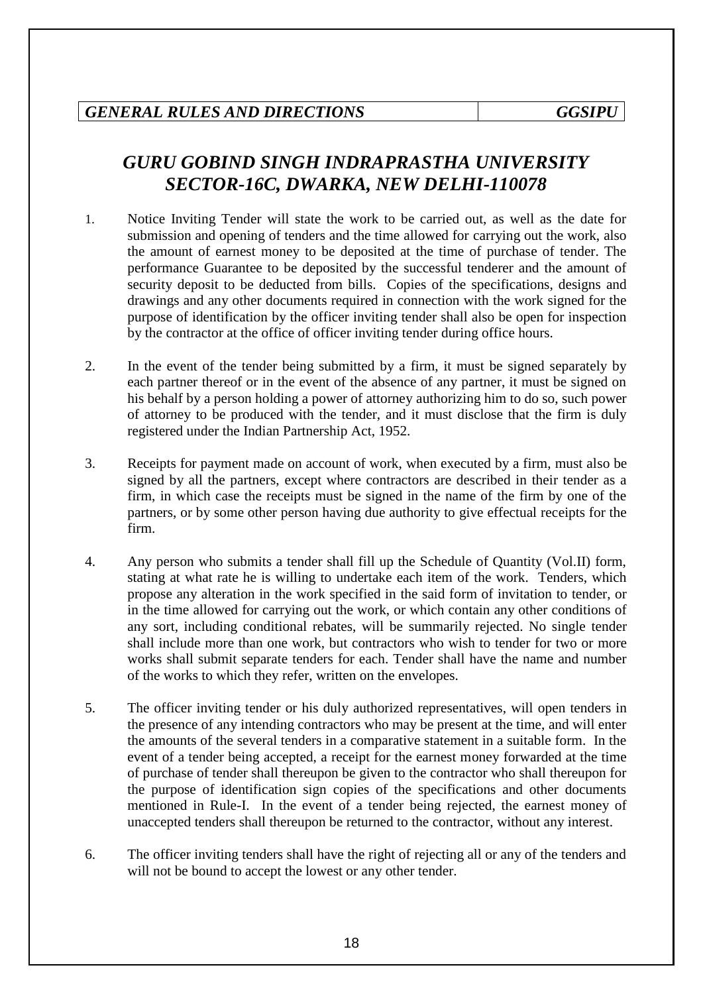#### *GENERAL RULES AND DIRECTIONS GGSIPU*

#### *GURU GOBIND SINGH INDRAPRASTHA UNIVERSITY SECTOR-16C, DWARKA, NEW DELHI-110078*

- 1. Notice Inviting Tender will state the work to be carried out, as well as the date for submission and opening of tenders and the time allowed for carrying out the work, also the amount of earnest money to be deposited at the time of purchase of tender. The performance Guarantee to be deposited by the successful tenderer and the amount of security deposit to be deducted from bills. Copies of the specifications, designs and drawings and any other documents required in connection with the work signed for the purpose of identification by the officer inviting tender shall also be open for inspection by the contractor at the office of officer inviting tender during office hours.
- 2. In the event of the tender being submitted by a firm, it must be signed separately by each partner thereof or in the event of the absence of any partner, it must be signed on his behalf by a person holding a power of attorney authorizing him to do so, such power of attorney to be produced with the tender, and it must disclose that the firm is duly registered under the Indian Partnership Act, 1952.
- 3. Receipts for payment made on account of work, when executed by a firm, must also be signed by all the partners, except where contractors are described in their tender as a firm, in which case the receipts must be signed in the name of the firm by one of the partners, or by some other person having due authority to give effectual receipts for the firm.
- 4. Any person who submits a tender shall fill up the Schedule of Quantity (Vol.II) form, stating at what rate he is willing to undertake each item of the work. Tenders, which propose any alteration in the work specified in the said form of invitation to tender, or in the time allowed for carrying out the work, or which contain any other conditions of any sort, including conditional rebates, will be summarily rejected. No single tender shall include more than one work, but contractors who wish to tender for two or more works shall submit separate tenders for each. Tender shall have the name and number of the works to which they refer, written on the envelopes.
- 5. The officer inviting tender or his duly authorized representatives, will open tenders in the presence of any intending contractors who may be present at the time, and will enter the amounts of the several tenders in a comparative statement in a suitable form. In the event of a tender being accepted, a receipt for the earnest money forwarded at the time of purchase of tender shall thereupon be given to the contractor who shall thereupon for the purpose of identification sign copies of the specifications and other documents mentioned in Rule-I. In the event of a tender being rejected, the earnest money of unaccepted tenders shall thereupon be returned to the contractor, without any interest.
- 6. The officer inviting tenders shall have the right of rejecting all or any of the tenders and will not be bound to accept the lowest or any other tender.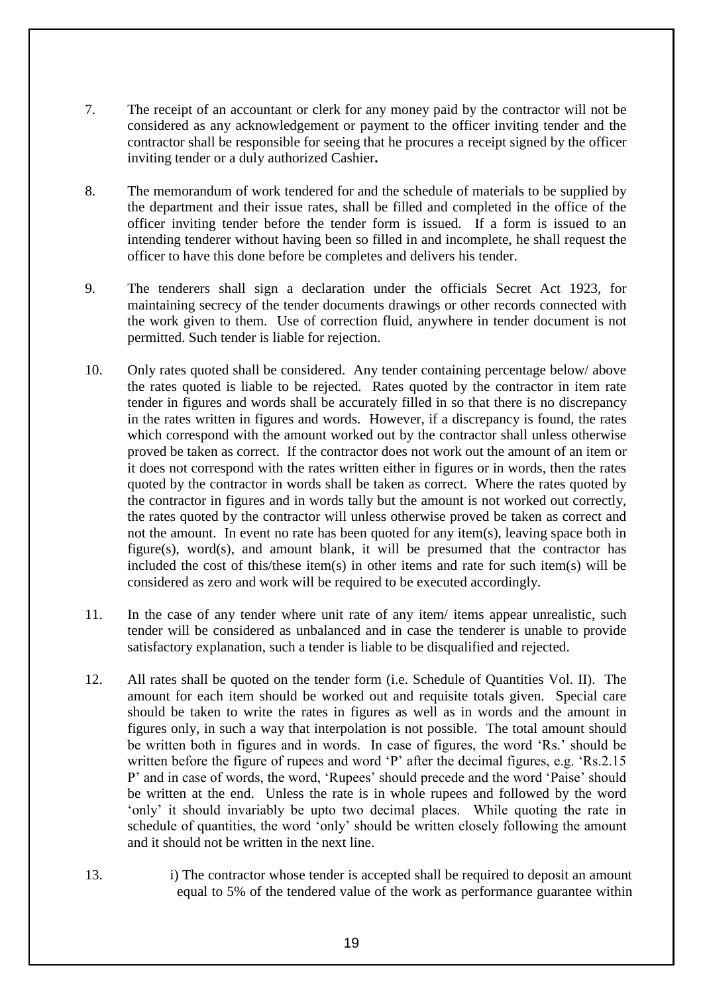- 7. The receipt of an accountant or clerk for any money paid by the contractor will not be considered as any acknowledgement or payment to the officer inviting tender and the contractor shall be responsible for seeing that he procures a receipt signed by the officer inviting tender or a duly authorized Cashier**.**
- 8. The memorandum of work tendered for and the schedule of materials to be supplied by the department and their issue rates, shall be filled and completed in the office of the officer inviting tender before the tender form is issued. If a form is issued to an intending tenderer without having been so filled in and incomplete, he shall request the officer to have this done before be completes and delivers his tender.
- 9. The tenderers shall sign a declaration under the officials Secret Act 1923, for maintaining secrecy of the tender documents drawings or other records connected with the work given to them. Use of correction fluid, anywhere in tender document is not permitted. Such tender is liable for rejection.
- 10. Only rates quoted shall be considered. Any tender containing percentage below/ above the rates quoted is liable to be rejected. Rates quoted by the contractor in item rate tender in figures and words shall be accurately filled in so that there is no discrepancy in the rates written in figures and words. However, if a discrepancy is found, the rates which correspond with the amount worked out by the contractor shall unless otherwise proved be taken as correct. If the contractor does not work out the amount of an item or it does not correspond with the rates written either in figures or in words, then the rates quoted by the contractor in words shall be taken as correct. Where the rates quoted by the contractor in figures and in words tally but the amount is not worked out correctly, the rates quoted by the contractor will unless otherwise proved be taken as correct and not the amount. In event no rate has been quoted for any item(s), leaving space both in figure(s), word(s), and amount blank, it will be presumed that the contractor has included the cost of this/these item(s) in other items and rate for such item(s) will be considered as zero and work will be required to be executed accordingly.
- 11. In the case of any tender where unit rate of any item/ items appear unrealistic, such tender will be considered as unbalanced and in case the tenderer is unable to provide satisfactory explanation, such a tender is liable to be disqualified and rejected.
- 12. All rates shall be quoted on the tender form (i.e. Schedule of Quantities Vol. II). The amount for each item should be worked out and requisite totals given. Special care should be taken to write the rates in figures as well as in words and the amount in figures only, in such a way that interpolation is not possible. The total amount should be written both in figures and in words. In case of figures, the word "Rs." should be written before the figure of rupees and word 'P' after the decimal figures, e.g. 'Rs.2.15 P" and in case of words, the word, "Rupees" should precede and the word "Paise" should be written at the end. Unless the rate is in whole rupees and followed by the word "only" it should invariably be upto two decimal places. While quoting the rate in schedule of quantities, the word "only" should be written closely following the amount and it should not be written in the next line.
- 13. i) The contractor whose tender is accepted shall be required to deposit an amount equal to 5% of the tendered value of the work as performance guarantee within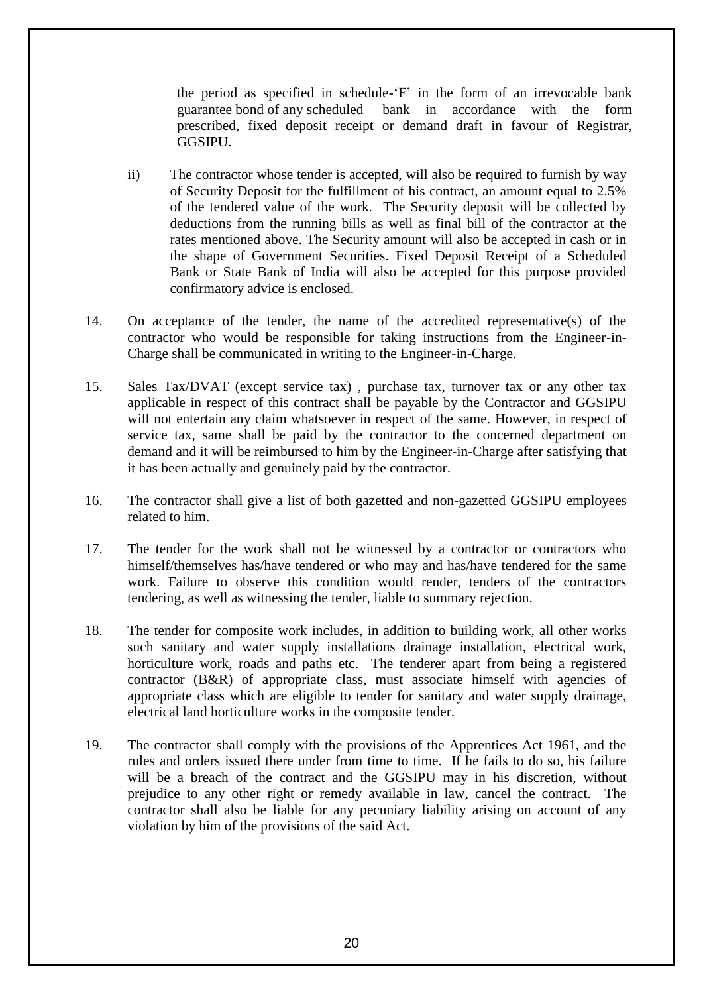the period as specified in schedule-'F' in the form of an irrevocable bank guarantee bond of any scheduled bank in accordance with the form prescribed, fixed deposit receipt or demand draft in favour of Registrar, GGSIPU.

- ii) The contractor whose tender is accepted, will also be required to furnish by way of Security Deposit for the fulfillment of his contract, an amount equal to 2.5% of the tendered value of the work. The Security deposit will be collected by deductions from the running bills as well as final bill of the contractor at the rates mentioned above. The Security amount will also be accepted in cash or in the shape of Government Securities. Fixed Deposit Receipt of a Scheduled Bank or State Bank of India will also be accepted for this purpose provided confirmatory advice is enclosed.
- 14. On acceptance of the tender, the name of the accredited representative(s) of the contractor who would be responsible for taking instructions from the Engineer-in-Charge shall be communicated in writing to the Engineer-in-Charge.
- 15. Sales Tax/DVAT (except service tax) , purchase tax, turnover tax or any other tax applicable in respect of this contract shall be payable by the Contractor and GGSIPU will not entertain any claim whatsoever in respect of the same. However, in respect of service tax, same shall be paid by the contractor to the concerned department on demand and it will be reimbursed to him by the Engineer-in-Charge after satisfying that it has been actually and genuinely paid by the contractor.
- 16. The contractor shall give a list of both gazetted and non-gazetted GGSIPU employees related to him.
- 17. The tender for the work shall not be witnessed by a contractor or contractors who himself/themselves has/have tendered or who may and has/have tendered for the same work. Failure to observe this condition would render, tenders of the contractors tendering, as well as witnessing the tender, liable to summary rejection.
- 18. The tender for composite work includes, in addition to building work, all other works such sanitary and water supply installations drainage installation, electrical work, horticulture work, roads and paths etc. The tenderer apart from being a registered contractor (B&R) of appropriate class, must associate himself with agencies of appropriate class which are eligible to tender for sanitary and water supply drainage, electrical land horticulture works in the composite tender.
- 19. The contractor shall comply with the provisions of the Apprentices Act 1961, and the rules and orders issued there under from time to time. If he fails to do so, his failure will be a breach of the contract and the GGSIPU may in his discretion, without prejudice to any other right or remedy available in law, cancel the contract. The contractor shall also be liable for any pecuniary liability arising on account of any violation by him of the provisions of the said Act.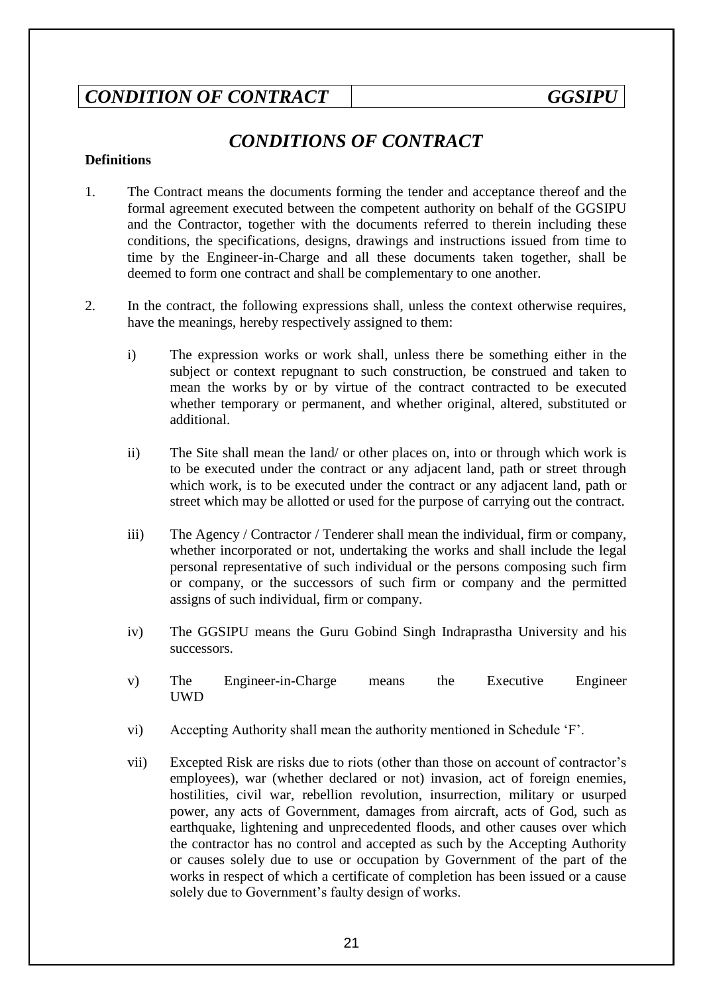### *CONDITION OF CONTRACT GGSIPU*

#### *CONDITIONS OF CONTRACT*

#### **Definitions**

- 1. The Contract means the documents forming the tender and acceptance thereof and the formal agreement executed between the competent authority on behalf of the GGSIPU and the Contractor, together with the documents referred to therein including these conditions, the specifications, designs, drawings and instructions issued from time to time by the Engineer-in-Charge and all these documents taken together, shall be deemed to form one contract and shall be complementary to one another.
- 2. In the contract, the following expressions shall, unless the context otherwise requires, have the meanings, hereby respectively assigned to them:
	- i) The expression works or work shall, unless there be something either in the subject or context repugnant to such construction, be construed and taken to mean the works by or by virtue of the contract contracted to be executed whether temporary or permanent, and whether original, altered, substituted or additional.
	- ii) The Site shall mean the land/ or other places on, into or through which work is to be executed under the contract or any adjacent land, path or street through which work, is to be executed under the contract or any adjacent land, path or street which may be allotted or used for the purpose of carrying out the contract.
	- iii) The Agency / Contractor / Tenderer shall mean the individual, firm or company, whether incorporated or not, undertaking the works and shall include the legal personal representative of such individual or the persons composing such firm or company, or the successors of such firm or company and the permitted assigns of such individual, firm or company.
	- iv) The GGSIPU means the Guru Gobind Singh Indraprastha University and his successors.
	- v) The Engineer-in-Charge means the Executive Engineer UWD
	- vi) Accepting Authority shall mean the authority mentioned in Schedule "F".
	- vii) Excepted Risk are risks due to riots (other than those on account of contractor"s employees), war (whether declared or not) invasion, act of foreign enemies, hostilities, civil war, rebellion revolution, insurrection, military or usurped power, any acts of Government, damages from aircraft, acts of God, such as earthquake, lightening and unprecedented floods, and other causes over which the contractor has no control and accepted as such by the Accepting Authority or causes solely due to use or occupation by Government of the part of the works in respect of which a certificate of completion has been issued or a cause solely due to Government's faulty design of works.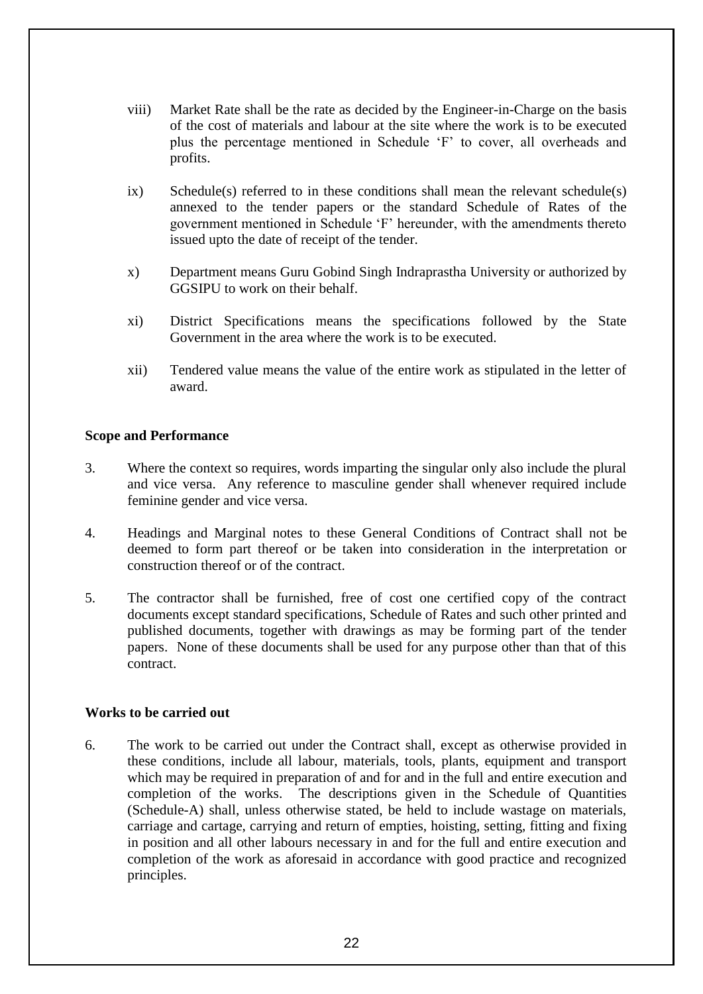- viii) Market Rate shall be the rate as decided by the Engineer-in-Charge on the basis of the cost of materials and labour at the site where the work is to be executed plus the percentage mentioned in Schedule "F" to cover, all overheads and profits.
- $ix)$  Schedule(s) referred to in these conditions shall mean the relevant schedule(s) annexed to the tender papers or the standard Schedule of Rates of the government mentioned in Schedule "F" hereunder, with the amendments thereto issued upto the date of receipt of the tender.
- x) Department means Guru Gobind Singh Indraprastha University or authorized by GGSIPU to work on their behalf.
- xi) District Specifications means the specifications followed by the State Government in the area where the work is to be executed.
- xii) Tendered value means the value of the entire work as stipulated in the letter of award.

#### **Scope and Performance**

- 3. Where the context so requires, words imparting the singular only also include the plural and vice versa. Any reference to masculine gender shall whenever required include feminine gender and vice versa.
- 4. Headings and Marginal notes to these General Conditions of Contract shall not be deemed to form part thereof or be taken into consideration in the interpretation or construction thereof or of the contract.
- 5. The contractor shall be furnished, free of cost one certified copy of the contract documents except standard specifications, Schedule of Rates and such other printed and published documents, together with drawings as may be forming part of the tender papers. None of these documents shall be used for any purpose other than that of this contract.

#### **Works to be carried out**

6. The work to be carried out under the Contract shall, except as otherwise provided in these conditions, include all labour, materials, tools, plants, equipment and transport which may be required in preparation of and for and in the full and entire execution and completion of the works. The descriptions given in the Schedule of Quantities (Schedule-A) shall, unless otherwise stated, be held to include wastage on materials, carriage and cartage, carrying and return of empties, hoisting, setting, fitting and fixing in position and all other labours necessary in and for the full and entire execution and completion of the work as aforesaid in accordance with good practice and recognized principles.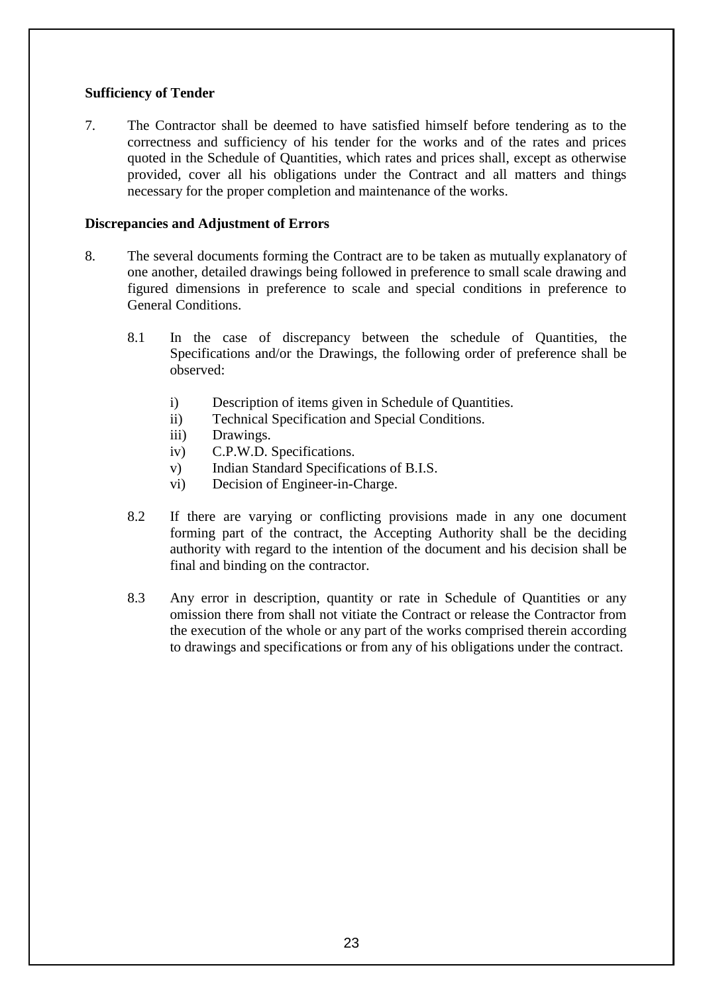#### **Sufficiency of Tender**

7. The Contractor shall be deemed to have satisfied himself before tendering as to the correctness and sufficiency of his tender for the works and of the rates and prices quoted in the Schedule of Quantities, which rates and prices shall, except as otherwise provided, cover all his obligations under the Contract and all matters and things necessary for the proper completion and maintenance of the works.

#### **Discrepancies and Adjustment of Errors**

- 8. The several documents forming the Contract are to be taken as mutually explanatory of one another, detailed drawings being followed in preference to small scale drawing and figured dimensions in preference to scale and special conditions in preference to General Conditions.
	- 8.1 In the case of discrepancy between the schedule of Quantities, the Specifications and/or the Drawings, the following order of preference shall be observed:
		- i) Description of items given in Schedule of Quantities.
		- ii) Technical Specification and Special Conditions.
		- iii) Drawings.
		- iv) C.P.W.D. Specifications.
		- v) Indian Standard Specifications of B.I.S.
		- vi) Decision of Engineer-in-Charge.
	- 8.2 If there are varying or conflicting provisions made in any one document forming part of the contract, the Accepting Authority shall be the deciding authority with regard to the intention of the document and his decision shall be final and binding on the contractor.
	- 8.3 Any error in description, quantity or rate in Schedule of Quantities or any omission there from shall not vitiate the Contract or release the Contractor from the execution of the whole or any part of the works comprised therein according to drawings and specifications or from any of his obligations under the contract.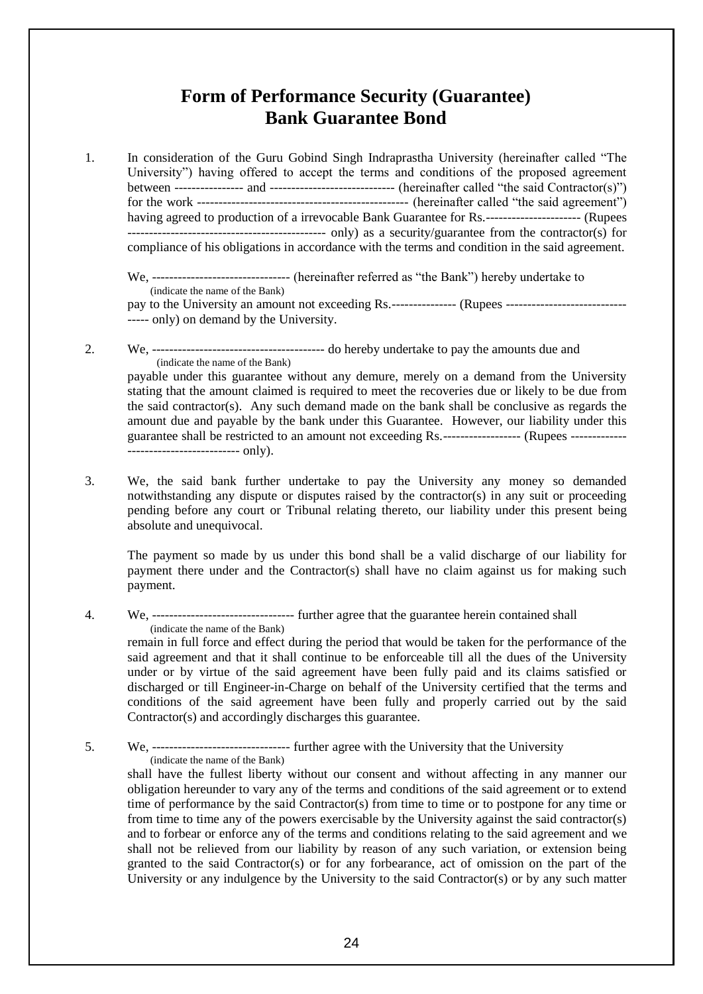#### **Form of Performance Security (Guarantee) Bank Guarantee Bond**

1. In consideration of the Guru Gobind Singh Indraprastha University (hereinafter called "The University") having offered to accept the terms and conditions of the proposed agreement between ---------------- and ----------------------------- (hereinafter called "the said Contractor(s)") for the work ------------------------------------------------- (hereinafter called "the said agreement") having agreed to production of a irrevocable Bank Guarantee for Rs.---------------------- (Rupees ---------------------------------------------- only) as a security/guarantee from the contractor(s) for compliance of his obligations in accordance with the terms and condition in the said agreement.

We, -------------------------------- (hereinafter referred as "the Bank") hereby undertake to (indicate the name of the Bank)

pay to the University an amount not exceeding Rs.--------------- (Rupees ---------------------------- ----- only) on demand by the University.

2. We, ---------------------------------------- do hereby undertake to pay the amounts due and (indicate the name of the Bank)

payable under this guarantee without any demure, merely on a demand from the University stating that the amount claimed is required to meet the recoveries due or likely to be due from the said contractor(s). Any such demand made on the bank shall be conclusive as regards the amount due and payable by the bank under this Guarantee. However, our liability under this guarantee shall be restricted to an amount not exceeding Rs.------------------- (Rupees ------------------------------------------------ only).

3. We, the said bank further undertake to pay the University any money so demanded notwithstanding any dispute or disputes raised by the contractor(s) in any suit or proceeding pending before any court or Tribunal relating thereto, our liability under this present being absolute and unequivocal.

The payment so made by us under this bond shall be a valid discharge of our liability for payment there under and the Contractor(s) shall have no claim against us for making such payment.

4. We, --------------------------------- further agree that the guarantee herein contained shall (indicate the name of the Bank)

remain in full force and effect during the period that would be taken for the performance of the said agreement and that it shall continue to be enforceable till all the dues of the University under or by virtue of the said agreement have been fully paid and its claims satisfied or discharged or till Engineer-in-Charge on behalf of the University certified that the terms and conditions of the said agreement have been fully and properly carried out by the said Contractor(s) and accordingly discharges this guarantee.

5. We, -------------------------------- further agree with the University that the University (indicate the name of the Bank)

shall have the fullest liberty without our consent and without affecting in any manner our obligation hereunder to vary any of the terms and conditions of the said agreement or to extend time of performance by the said Contractor(s) from time to time or to postpone for any time or from time to time any of the powers exercisable by the University against the said contractor(s) and to forbear or enforce any of the terms and conditions relating to the said agreement and we shall not be relieved from our liability by reason of any such variation, or extension being granted to the said Contractor(s) or for any forbearance, act of omission on the part of the University or any indulgence by the University to the said Contractor(s) or by any such matter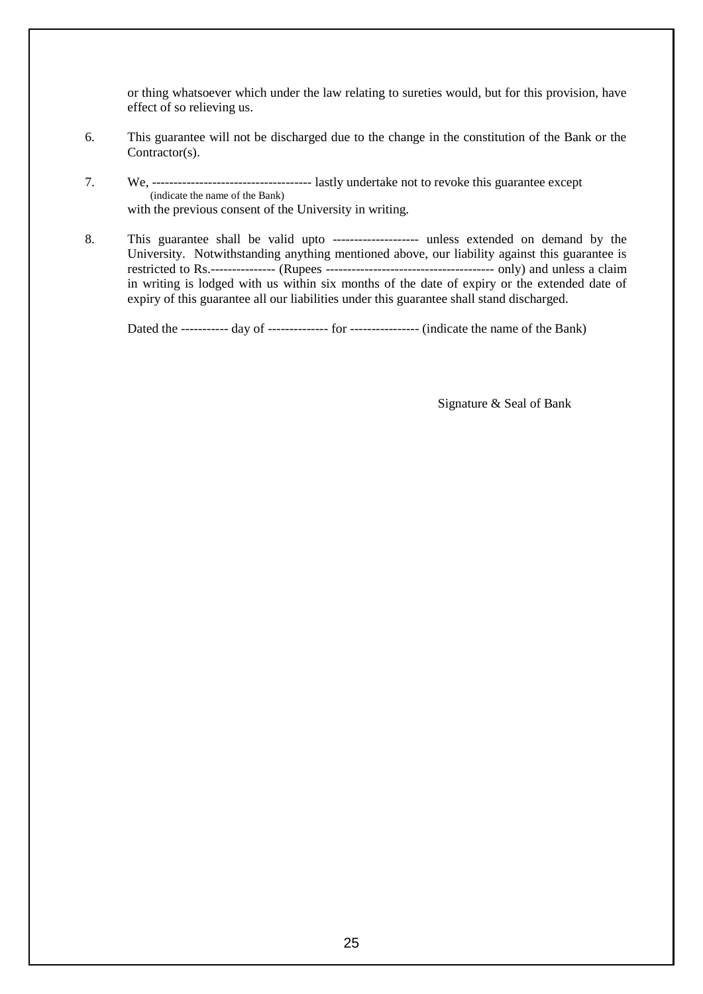or thing whatsoever which under the law relating to sureties would, but for this provision, have effect of so relieving us.

- 6. This guarantee will not be discharged due to the change in the constitution of the Bank or the Contractor(s).
- 7. We, ------------------------------------- lastly undertake not to revoke this guarantee except (indicate the name of the Bank) with the previous consent of the University in writing.
- 8. This guarantee shall be valid upto -------------------- unless extended on demand by the University. Notwithstanding anything mentioned above, our liability against this guarantee is restricted to Rs.--------------- (Rupees --------------------------------------- only) and unless a claim in writing is lodged with us within six months of the date of expiry or the extended date of expiry of this guarantee all our liabilities under this guarantee shall stand discharged.

Dated the ----------- day of -------------- for ---------------- (indicate the name of the Bank)

Signature & Seal of Bank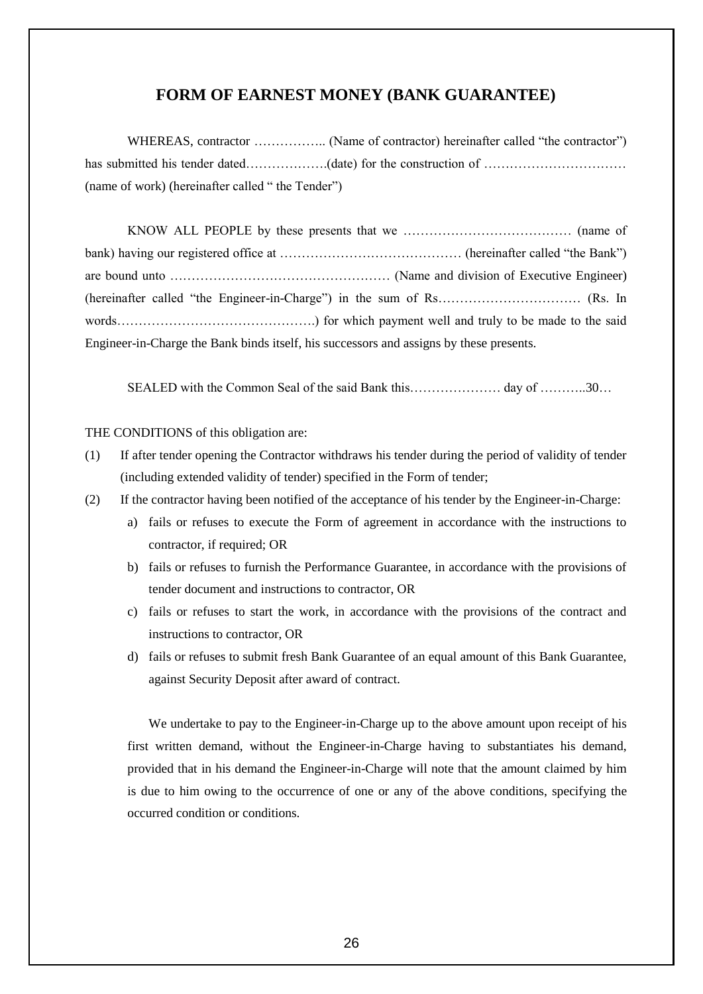#### **FORM OF EARNEST MONEY (BANK GUARANTEE)**

WHEREAS, contractor ……………... (Name of contractor) hereinafter called "the contractor") has submitted his tender dated……………….(date) for the construction of …………………………… (name of work) (hereinafter called " the Tender")

KNOW ALL PEOPLE by these presents that we ………………………………… (name of bank) having our registered office at …………………………………… (hereinafter called "the Bank") are bound unto …………………………………………… (Name and division of Executive Engineer) (hereinafter called "the Engineer-in-Charge") in the sum of Rs…………………………… (Rs. In words……………………………………….) for which payment well and truly to be made to the said Engineer-in-Charge the Bank binds itself, his successors and assigns by these presents.

SEALED with the Common Seal of the said Bank this………………… day of ………..30…

#### THE CONDITIONS of this obligation are:

- (1) If after tender opening the Contractor withdraws his tender during the period of validity of tender (including extended validity of tender) specified in the Form of tender;
- (2) If the contractor having been notified of the acceptance of his tender by the Engineer-in-Charge:
	- a) fails or refuses to execute the Form of agreement in accordance with the instructions to contractor, if required; OR
	- b) fails or refuses to furnish the Performance Guarantee, in accordance with the provisions of tender document and instructions to contractor, OR
	- c) fails or refuses to start the work, in accordance with the provisions of the contract and instructions to contractor, OR
	- d) fails or refuses to submit fresh Bank Guarantee of an equal amount of this Bank Guarantee, against Security Deposit after award of contract.

We undertake to pay to the Engineer-in-Charge up to the above amount upon receipt of his first written demand, without the Engineer-in-Charge having to substantiates his demand, provided that in his demand the Engineer-in-Charge will note that the amount claimed by him is due to him owing to the occurrence of one or any of the above conditions, specifying the occurred condition or conditions.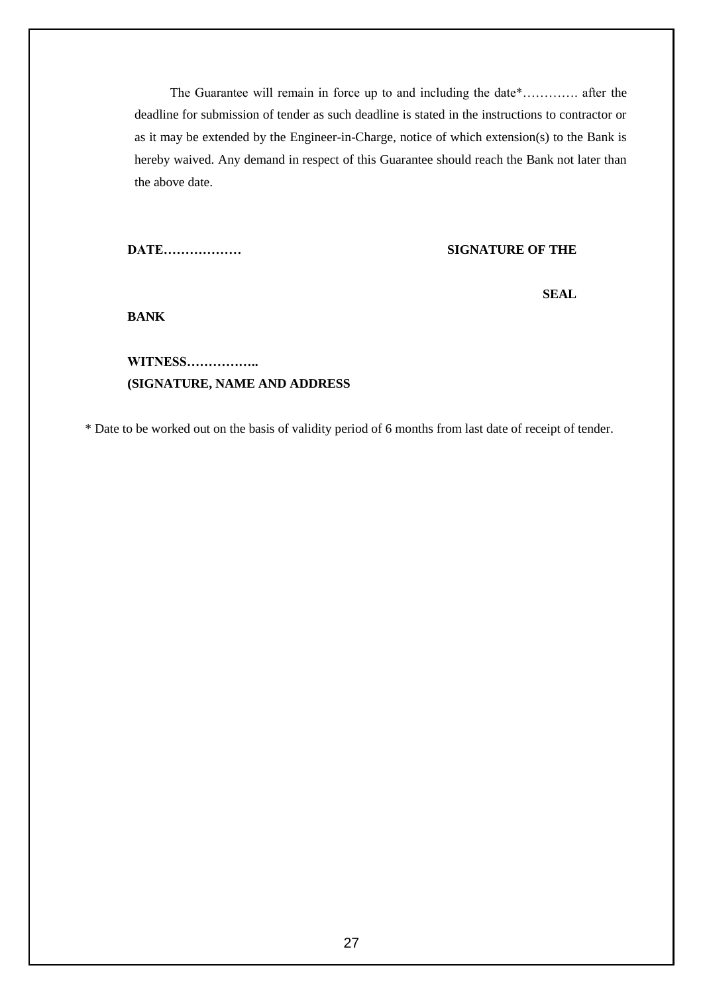The Guarantee will remain in force up to and including the date\*…………. after the deadline for submission of tender as such deadline is stated in the instructions to contractor or as it may be extended by the Engineer-in-Charge, notice of which extension(s) to the Bank is hereby waived. Any demand in respect of this Guarantee should reach the Bank not later than the above date.

#### **DATE……………… SIGNATURE OF THE**

**SEAL**

**BANK**

#### **WITNESS…………….. (SIGNATURE, NAME AND ADDRESS**

\* Date to be worked out on the basis of validity period of 6 months from last date of receipt of tender.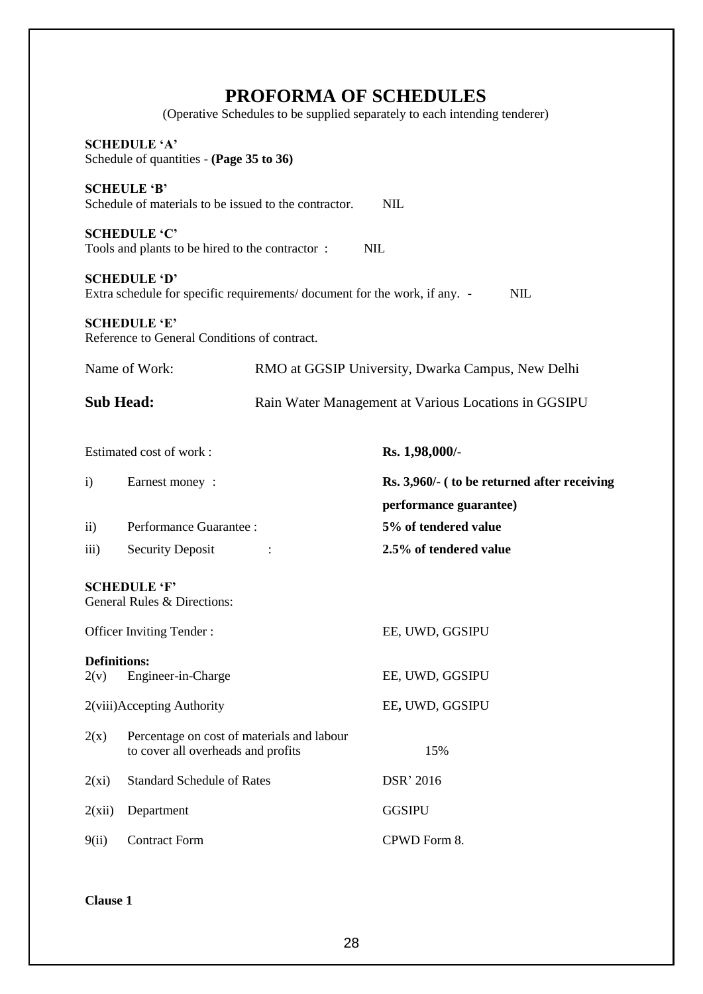## **PROFORMA OF SCHEDULES** (Operative Schedules to be supplied separately to each intending tenderer) **SCHEDULE "A"** Schedule of quantities - **(Page 35 to 36) SCHEULE "B"** Schedule of materials to be issued to the contractor. NIL **SCHEDULE "C"** Tools and plants to be hired to the contractor : NIL **SCHEDULE "D"** Extra schedule for specific requirements/ document for the work, if any. - NIL **SCHEDULE "E"** Reference to General Conditions of contract. Name of Work: RMO at GGSIP University, Dwarka Campus, New Delhi **Sub Head: Rain Water Management at Various Locations in GGSIPU Rs. 1,98,000**/i) Earnest money : **Rs. 3,960/- ( to be returned after receiving performance guarantee)** ii) Performance Guarantee : **5% of tendered value** iii) Security Deposit : **2.5% of tendered value SCHEDULE "F"** General Rules & Directions: Officer Inviting Tender : EE, UWD, GGSIPU **Definitions:**  $2(v)$  Engineer-in-Charge EE, UWD, GGSIPU 2(viii)Accepting Authority EE**,** UWD, GGSIPU 2(x) Percentage on cost of materials and labour to cover all overheads and profits 15% 2(xi) Standard Schedule of Rates DSR" 2016 2(xii) Department GGSIPU

9(ii) Contract Form CPWD Form 8.

**Clause 1**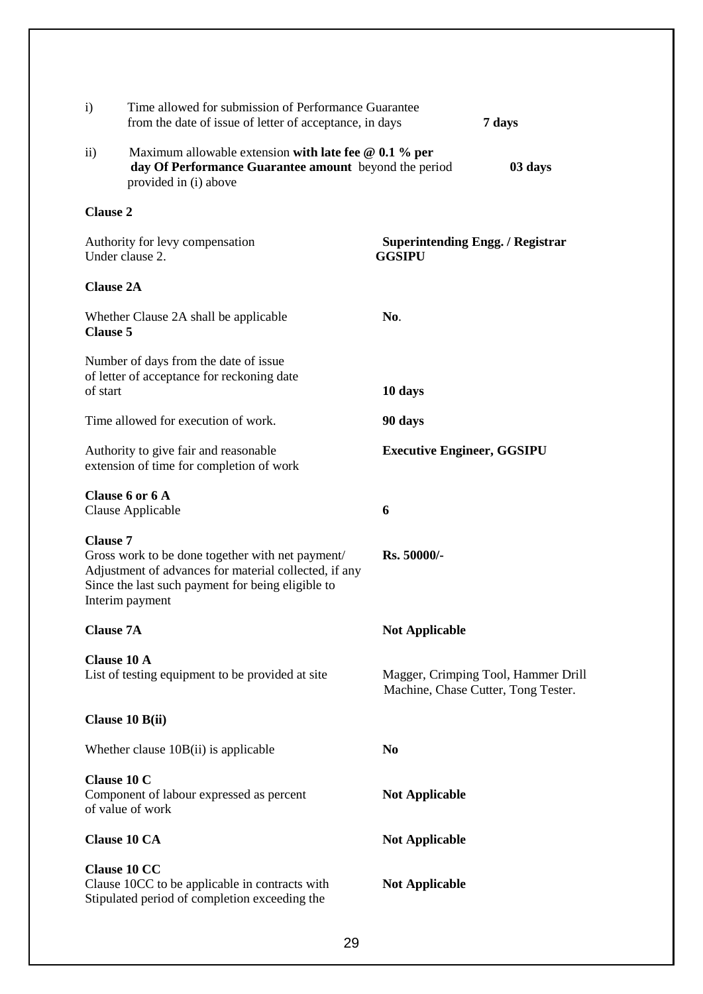| $\mathbf{i}$       | Time allowed for submission of Performance Guarantee<br>from the date of issue of letter of acceptance, in days<br>7 days                                                         |                                                                            |  |  |  |
|--------------------|-----------------------------------------------------------------------------------------------------------------------------------------------------------------------------------|----------------------------------------------------------------------------|--|--|--|
| $\ddot{\text{1}}$  | Maximum allowable extension with late fee $\omega$ 0.1 % per<br>day Of Performance Guarantee amount beyond the period<br>03 days<br>provided in (i) above                         |                                                                            |  |  |  |
| <b>Clause 2</b>    |                                                                                                                                                                                   |                                                                            |  |  |  |
|                    | Authority for levy compensation<br>Under clause 2.                                                                                                                                | <b>Superintending Engg. / Registrar</b><br><b>GGSIPU</b>                   |  |  |  |
| <b>Clause 2A</b>   |                                                                                                                                                                                   |                                                                            |  |  |  |
| <b>Clause 5</b>    | Whether Clause 2A shall be applicable                                                                                                                                             | No.                                                                        |  |  |  |
| of start           | Number of days from the date of issue<br>of letter of acceptance for reckoning date                                                                                               | 10 days                                                                    |  |  |  |
|                    | Time allowed for execution of work.                                                                                                                                               | 90 days                                                                    |  |  |  |
|                    | Authority to give fair and reasonable<br>extension of time for completion of work                                                                                                 | <b>Executive Engineer, GGSIPU</b>                                          |  |  |  |
|                    | Clause 6 or 6 A<br>Clause Applicable                                                                                                                                              | 6                                                                          |  |  |  |
| <b>Clause 7</b>    | Gross work to be done together with net payment/<br>Adjustment of advances for material collected, if any<br>Since the last such payment for being eligible to<br>Interim payment | Rs. 50000/-                                                                |  |  |  |
| <b>Clause 7A</b>   |                                                                                                                                                                                   | <b>Not Applicable</b>                                                      |  |  |  |
| <b>Clause 10 A</b> | List of testing equipment to be provided at site                                                                                                                                  | Magger, Crimping Tool, Hammer Drill<br>Machine, Chase Cutter, Tong Tester. |  |  |  |
|                    | Clause 10 B(ii)                                                                                                                                                                   |                                                                            |  |  |  |
|                    | Whether clause $10B(ii)$ is applicable                                                                                                                                            | N <sub>0</sub>                                                             |  |  |  |
| Clause 10 C        | Component of labour expressed as percent<br>of value of work                                                                                                                      | <b>Not Applicable</b>                                                      |  |  |  |
|                    | <b>Clause 10 CA</b>                                                                                                                                                               | <b>Not Applicable</b>                                                      |  |  |  |
|                    | Clause 10 CC<br>Clause 10CC to be applicable in contracts with<br>Stipulated period of completion exceeding the                                                                   | <b>Not Applicable</b>                                                      |  |  |  |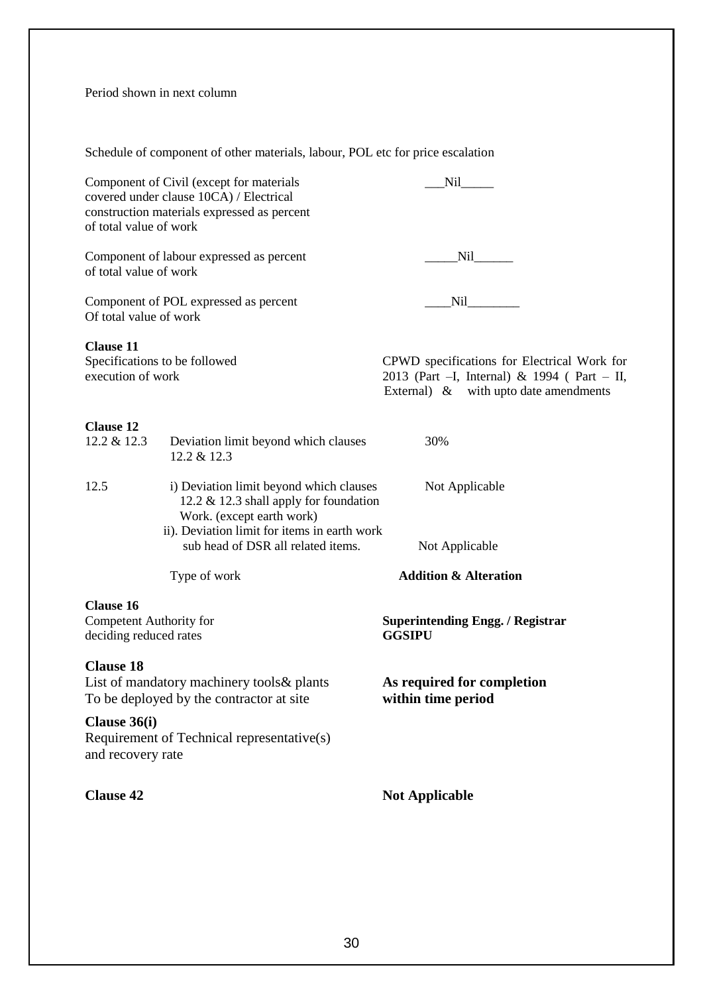Period shown in next column

Schedule of component of other materials, labour, POL etc for price escalation

| <b>Clause 42</b>                                                                                                                                                                                             | <b>Not Applicable</b>                                                                                                                        |  |  |  |
|--------------------------------------------------------------------------------------------------------------------------------------------------------------------------------------------------------------|----------------------------------------------------------------------------------------------------------------------------------------------|--|--|--|
| Clause 36(i)<br>Requirement of Technical representative(s)<br>and recovery rate                                                                                                                              |                                                                                                                                              |  |  |  |
| <b>Clause 18</b><br>List of mandatory machinery tools & plants<br>To be deployed by the contractor at site                                                                                                   | As required for completion<br>within time period                                                                                             |  |  |  |
| <b>Clause 16</b><br>Competent Authority for<br>deciding reduced rates                                                                                                                                        | <b>Superintending Engg. / Registrar</b><br><b>GGSIPU</b>                                                                                     |  |  |  |
| Type of work                                                                                                                                                                                                 | <b>Addition &amp; Alteration</b>                                                                                                             |  |  |  |
| 12.5<br>i) Deviation limit beyond which clauses<br>12.2 & 12.3 shall apply for foundation<br>Work. (except earth work)<br>ii). Deviation limit for items in earth work<br>sub head of DSR all related items. | Not Applicable<br>Not Applicable                                                                                                             |  |  |  |
| <b>Clause 12</b><br>12.2 & 12.3<br>Deviation limit beyond which clauses<br>12.2 & 12.3                                                                                                                       | 30%                                                                                                                                          |  |  |  |
| <b>Clause 11</b><br>Specifications to be followed<br>execution of work                                                                                                                                       | CPWD specifications for Electrical Work for<br>2013 (Part $-I$ , Internal) & 1994 (Part $- II$ ,<br>External) $\&$ with upto date amendments |  |  |  |
| Component of POL expressed as percent<br>Of total value of work                                                                                                                                              | Nil                                                                                                                                          |  |  |  |
| Component of labour expressed as percent<br>of total value of work                                                                                                                                           | Nil                                                                                                                                          |  |  |  |
| Component of Civil (except for materials<br>covered under clause 10CA) / Electrical<br>construction materials expressed as percent<br>of total value of work                                                 | Nil                                                                                                                                          |  |  |  |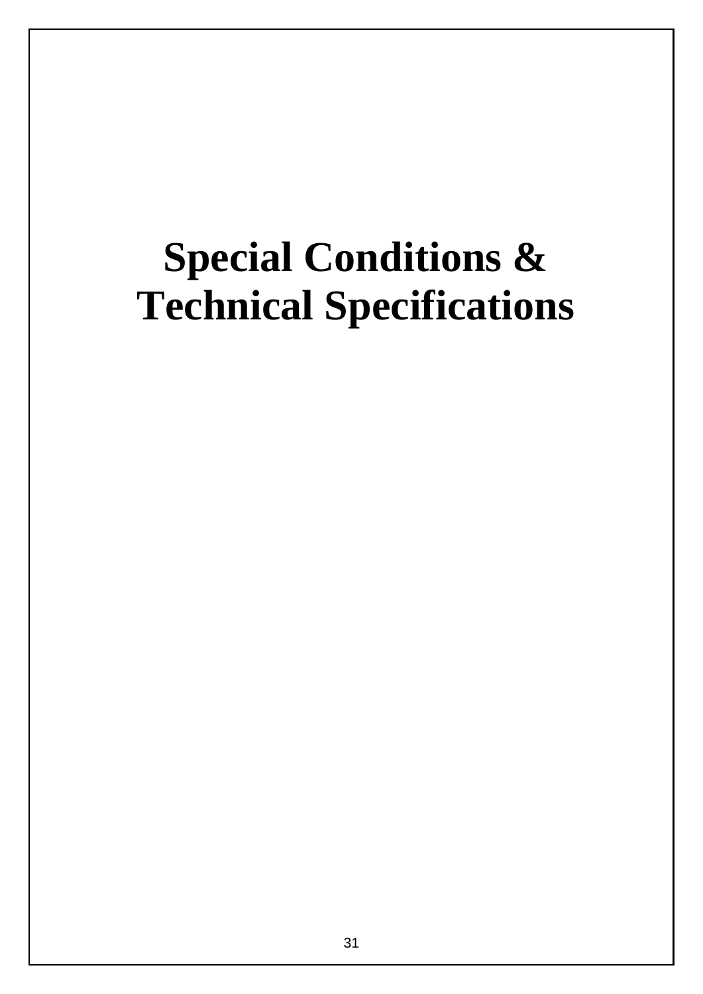# **Special Conditions & Technical Specifications**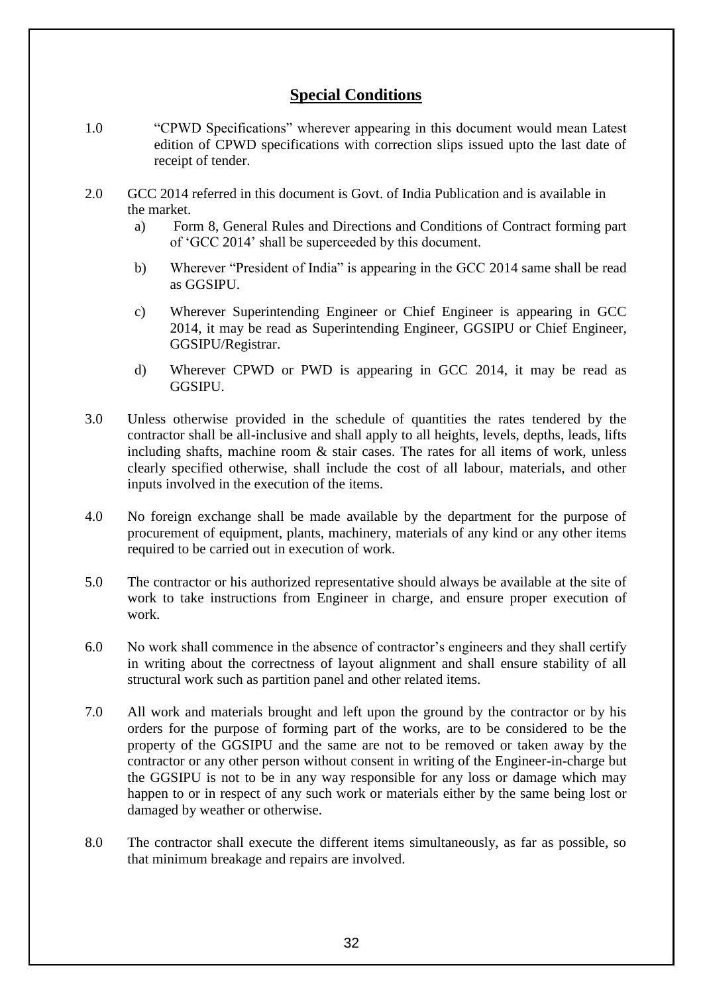#### **Special Conditions**

- 1.0 "CPWD Specifications" wherever appearing in this document would mean Latest edition of CPWD specifications with correction slips issued upto the last date of receipt of tender.
- 2.0 GCC 2014 referred in this document is Govt. of India Publication and is available in the market.
	- a) Form 8, General Rules and Directions and Conditions of Contract forming part of "GCC 2014" shall be superceeded by this document.
	- b) Wherever "President of India" is appearing in the GCC 2014 same shall be read as GGSIPU.
	- c) Wherever Superintending Engineer or Chief Engineer is appearing in GCC 2014, it may be read as Superintending Engineer, GGSIPU or Chief Engineer, GGSIPU/Registrar.
	- d) Wherever CPWD or PWD is appearing in GCC 2014, it may be read as GGSIPU.
- 3.0 Unless otherwise provided in the schedule of quantities the rates tendered by the contractor shall be all-inclusive and shall apply to all heights, levels, depths, leads, lifts including shafts, machine room  $\&$  stair cases. The rates for all items of work, unless clearly specified otherwise, shall include the cost of all labour, materials, and other inputs involved in the execution of the items.
- 4.0 No foreign exchange shall be made available by the department for the purpose of procurement of equipment, plants, machinery, materials of any kind or any other items required to be carried out in execution of work.
- 5.0 The contractor or his authorized representative should always be available at the site of work to take instructions from Engineer in charge, and ensure proper execution of work.
- 6.0 No work shall commence in the absence of contractor"s engineers and they shall certify in writing about the correctness of layout alignment and shall ensure stability of all structural work such as partition panel and other related items.
- 7.0 All work and materials brought and left upon the ground by the contractor or by his orders for the purpose of forming part of the works, are to be considered to be the property of the GGSIPU and the same are not to be removed or taken away by the contractor or any other person without consent in writing of the Engineer-in-charge but the GGSIPU is not to be in any way responsible for any loss or damage which may happen to or in respect of any such work or materials either by the same being lost or damaged by weather or otherwise.
- 8.0 The contractor shall execute the different items simultaneously, as far as possible, so that minimum breakage and repairs are involved.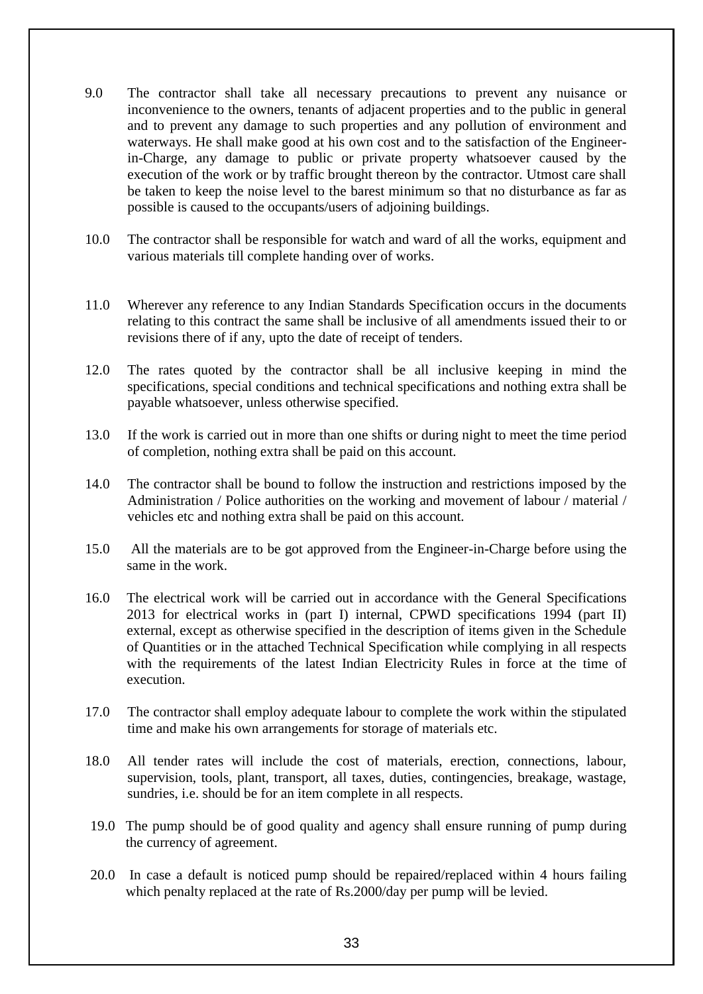- 9.0 The contractor shall take all necessary precautions to prevent any nuisance or inconvenience to the owners, tenants of adjacent properties and to the public in general and to prevent any damage to such properties and any pollution of environment and waterways. He shall make good at his own cost and to the satisfaction of the Engineerin-Charge, any damage to public or private property whatsoever caused by the execution of the work or by traffic brought thereon by the contractor. Utmost care shall be taken to keep the noise level to the barest minimum so that no disturbance as far as possible is caused to the occupants/users of adjoining buildings.
- 10.0 The contractor shall be responsible for watch and ward of all the works, equipment and various materials till complete handing over of works.
- 11.0 Wherever any reference to any Indian Standards Specification occurs in the documents relating to this contract the same shall be inclusive of all amendments issued their to or revisions there of if any, upto the date of receipt of tenders.
- 12.0 The rates quoted by the contractor shall be all inclusive keeping in mind the specifications, special conditions and technical specifications and nothing extra shall be payable whatsoever, unless otherwise specified.
- 13.0 If the work is carried out in more than one shifts or during night to meet the time period of completion, nothing extra shall be paid on this account.
- 14.0 The contractor shall be bound to follow the instruction and restrictions imposed by the Administration / Police authorities on the working and movement of labour / material / vehicles etc and nothing extra shall be paid on this account.
- 15.0 All the materials are to be got approved from the Engineer-in-Charge before using the same in the work.
- 16.0 The electrical work will be carried out in accordance with the General Specifications 2013 for electrical works in (part I) internal, CPWD specifications 1994 (part II) external, except as otherwise specified in the description of items given in the Schedule of Quantities or in the attached Technical Specification while complying in all respects with the requirements of the latest Indian Electricity Rules in force at the time of execution.
- 17.0 The contractor shall employ adequate labour to complete the work within the stipulated time and make his own arrangements for storage of materials etc.
- 18.0 All tender rates will include the cost of materials, erection, connections, labour, supervision, tools, plant, transport, all taxes, duties, contingencies, breakage, wastage, sundries, i.e. should be for an item complete in all respects.
- 19.0 The pump should be of good quality and agency shall ensure running of pump during the currency of agreement.
- 20.0 In case a default is noticed pump should be repaired/replaced within 4 hours failing which penalty replaced at the rate of Rs.2000/day per pump will be levied.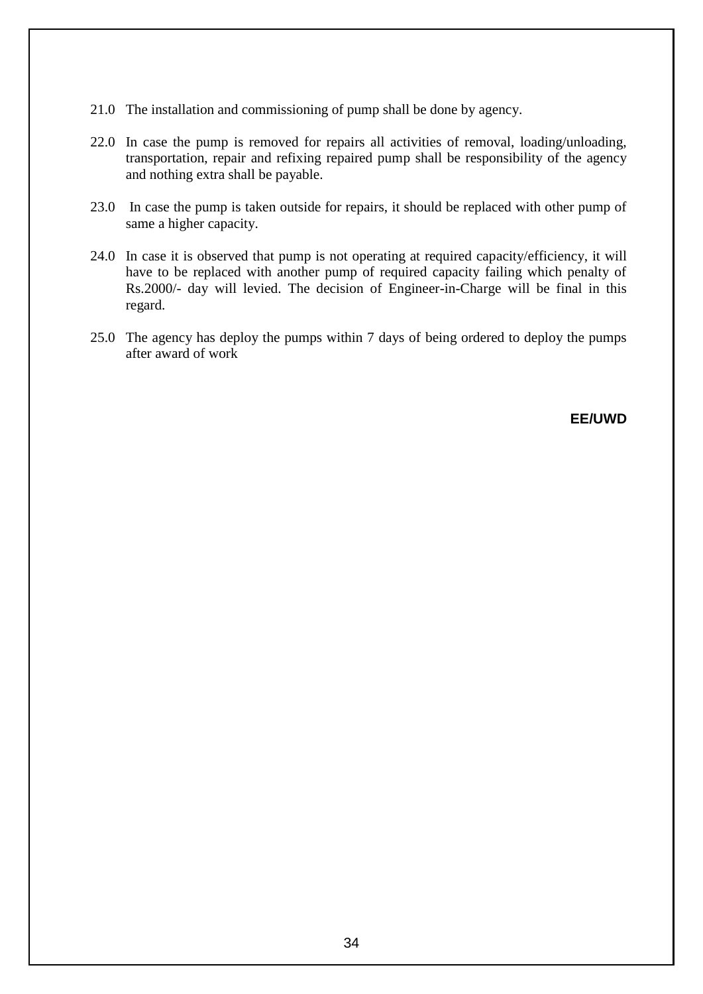- 21.0 The installation and commissioning of pump shall be done by agency.
- 22.0 In case the pump is removed for repairs all activities of removal, loading/unloading, transportation, repair and refixing repaired pump shall be responsibility of the agency and nothing extra shall be payable.
- 23.0 In case the pump is taken outside for repairs, it should be replaced with other pump of same a higher capacity.
- 24.0 In case it is observed that pump is not operating at required capacity/efficiency, it will have to be replaced with another pump of required capacity failing which penalty of Rs.2000/- day will levied. The decision of Engineer-in-Charge will be final in this regard.
- 25.0 The agency has deploy the pumps within 7 days of being ordered to deploy the pumps after award of work

**EE/UWD**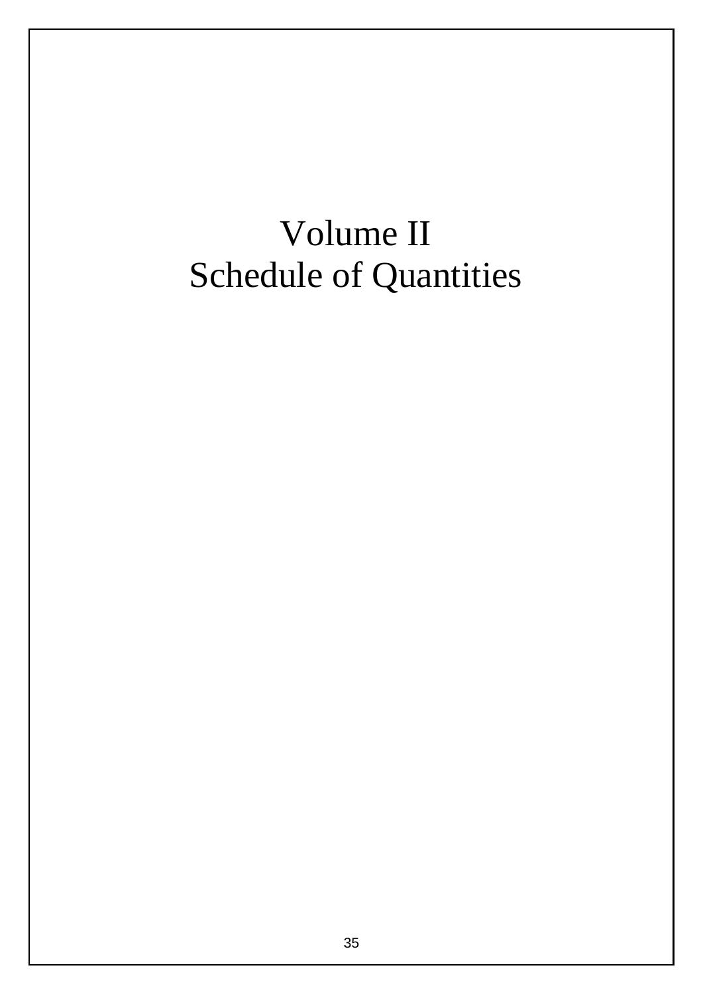# Volume II Schedule of Quantities